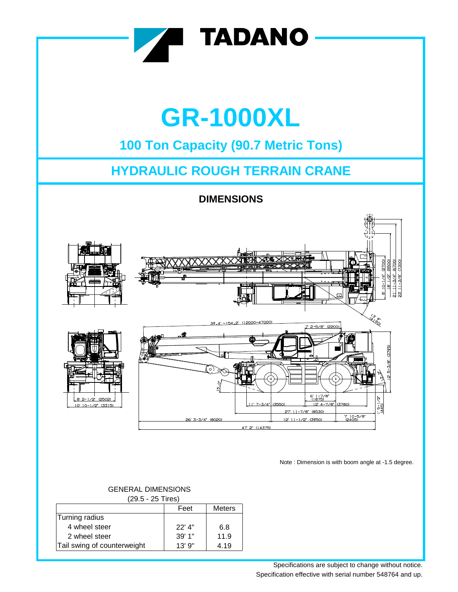

# **GR-1000XL**

## **100 Ton Capacity (90.7 Metric Tons)**

## **HYDRAULIC ROUGH TERRAIN CRANE**

**DIMENSIONS**



Note : Dimension is with boom angle at -1.5 degree.

| (29.5 - 25 Tires)           |          |               |
|-----------------------------|----------|---------------|
|                             | Feet     | <b>Meters</b> |
| Turning radius              |          |               |
| 4 wheel steer               | $22'$ 4" | 6.8           |
| 2 wheel steer               | 39' 1"   | 11.9          |
| Tail swing of counterweight | 13'9''   | 4.19          |

### GENERAL DIMENSIONS

Specifications are subject to change without notice. Specification effective with serial number 548764 and up.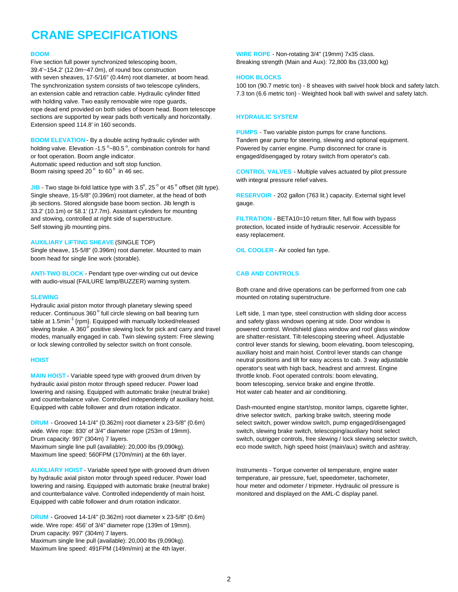## **CRANE SPECIFICATIONS**

Five section full power synchronized telescoping boom, Breaking strength (Main and Aux): 72,800 lbs (33,000 kg) 39.4'~154.2' (12.0m~47.0m), of round box construction with seven sheaves, 17-5/16" (0.44m) root diameter, at boom head. **HOOK BLOCKS** The synchronization system consists of two telescope cylinders, 100 ton (90.7 metric ton) - 8 sheaves with swivel hook block and safety latch. with holding valve. Two easily removable wire rope guards, rope dead end provided on both sides of boom head. Boom telescope sections are supported by wear pads both vertically and horizontally. **HYDRAULIC SYSTEM** Extension speed 114.8' in 160 seconds.

holding valve. Elevation -1.5  $^{\circ}$  ~80.5  $^{\circ}$ or foot operation. Boom angle indicator. entity and the state of the engaged/disengaged by rotary switch from operator's cab. Automatic speed reduction and soft stop function. Boom raising speed 20 $^{\circ}$  to 60 $^{\circ}$ 

**JIB** - Two stage bi-fold lattice type with  $3.5^\circ$ ,  $25^\circ$  or  $45^\circ$  offset (tilt type). Single sheave, 15-5/8" (0.396m) root diameter, at the head of both **RESERVOIR** - 202 gallon (763 lit.) capacity. External sight level jib sections. Stored alongside base boom section. Jib length is gauge. 33.2' (10.1m) or 58.1' (17.7m). Assistant cylinders for mounting and stowing, controlled at right side of superstructure. **FILTRATION** - BETA10=10 return filter, full flow with bypass Self stowing jib mounting pins. **protection**, located inside of hydraulic reservoir. Accessible for

#### **AUXILIARY LIFTING SHEAVE** (SINGLE TOP)

Single sheave, 15-5/8" (0.396m) root diameter. Mounted to main **OIL COOLER** - Air cooled fan type. boom head for single line work (storable).

**ANTI-TWO BLOCK** - Pendant type over-winding cut out device **CAB AND CONTROLS** with audio-visual (FAILURE lamp/BUZZER) warning system.

Hydraulic axial piston motor through planetary slewing speed reducer. Continuous 360° full circle slewing on ball bearing turn table at 1.5min<sup>-1</sup> {rpm}. Equipped with manually locked/released and safety glass windows opening at side. Door window is slewing brake. A 360° positive slewing lock for pick and carry and travel modes, manually engaged in cab. Twin slewing system: Free slewing are shatter-resistant. Tilt-telescoping steering wheel. Adjustable or lock slewing controlled by selector switch on front console. control lever stands for slewing, boom elevating, boom telescoping,

**MAIN HOIST** - Variable speed type with grooved drum driven by throttle knob. Foot operated controls: boom elevating, hydraulic axial piston motor through speed reducer. Power load boom telescoping, service brake and engine throttle. lowering and raising. Equipped with automatic brake (neutral brake) Hot water cab heater and air conditioning. and counterbalance valve. Controlled independently of auxiliary hoist. Equipped with cable follower and drum rotation indicator. Dash-mounted engine start/stop, monitor lamps, cigarette lighter,

**DRUM** - Grooved 14-1/4" (0.362m) root diameter x 23-5/8" (0.6m) select switch, power window switch, pump engaged/disengaged wide. Wire rope: 830' of 3/4" diameter rope (253m of 19mm). switch, slewing brake switch, telescoping/auxiliary hoist select Maximum line speed: 560FPM (170m/min) at the 6th layer.

AUXILIARY HOIST - Variable speed type with grooved drum driven **Instruments - Torque converter oil temperature**, engine water by hydraulic axial piston motor through speed reducer. Power load temperature, air pressure, fuel, speedometer, tachometer, lowering and raising. Equipped with automatic brake (neutral brake) hour meter and odometer / tripmeter. Hydraulic oil pressure is and counterbalance valve. Controlled independently of main hoist. monitored and displayed on the AML-C display panel. Equipped with cable follower and drum rotation indicator.

**DRUM** - Grooved 14-1/4" (0.362m) root diameter x 23-5/8" (0.6m) wide. Wire rope: 456' of 3/4" diameter rope (139m of 19mm). Drum capacity: 997' (304m) 7 layers. Maximum single line pull (available): 20,000 lbs (9,090kg). Maximum line speed: 491FPM (149m/min) at the 4th layer.

**BOOM** WIRE ROPE - Non-rotating 3/4" (19mm) 7x35 class.

an extension cable and retraction cable. Hydraulic cylinder fitted 7.3 ton (6.6 metric ton) - Weighted hook ball with swivel and safety latch.

**PUMPS** - Two variable piston pumps for crane functions. **BOOM ELEVATION** - By a double acting hydraulic cylinder with Tandem gear pump for steering, slewing and optional equipment. Powered by carrier engine. Pump disconnect for crane is

> **CONTROL VALVES** - Multiple valves actuated by pilot pressure with integral pressure relief valves.

easy replacement.

Both crane and drive operations can be performed from one cab **SLEWING** mounted on rotating superstructure.

Left side, 1 man type, steel construction with sliding door access powered control. Windshield glass window and roof glass window auxiliary hoist and main hoist. Control lever stands can change **HOIST HOIST HOIST** *HOIST HOIST M<sub>ISS</sub>* **<b>***M<sub>ISS</sub> <i>MISS MISS MISS MISS MISS <i>MISS MISS MISS MISS MISS MISS MISS MISS MISS MISS MISS MISS MISS* operator's seat with high back, headrest and armrest. Engine

drive selector switch, parking brake switch, steering mode Drum capacity: 997' (304m) 7 layers. switch, switch, outrigger controls, free slewing / lock slewing selector switch, Maximum single line pull (available): 20,000 lbs (9,090kg). eco mode switch, high speed hoist (main/aux) switch and ashtray.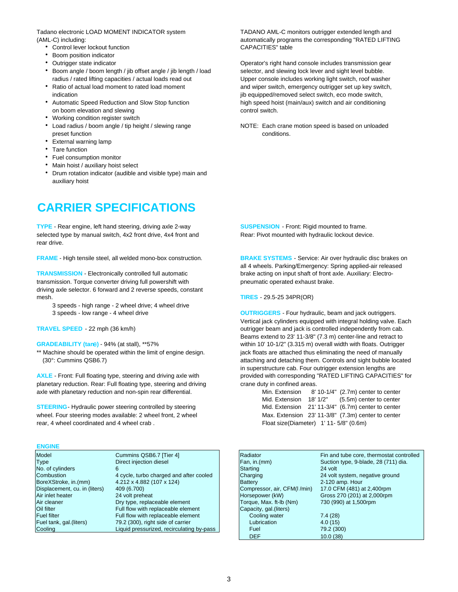Tadano electronic LOAD MOMENT INDICATOR system TADANO AML-C monitors outrigger extended length and

- Control lever lockout function CAPACITIES" table
- Boom position indicator
- 
- Boom angle / boom length / jib offset angle / jib length / load selector, and slewing lock lever and sight level bubble. radius / rated lifting capacities / actual loads read out Upper console includes working light switch, roof washer
- 
- on boom elevation and slewing control switch.
- Working condition register switch
- preset function conditions.
- External warning lamp
- Tare function
- Fuel consumption monitor
- Main hoist / auxiliary hoist select
- Drum rotation indicator (audible and visible type) main and auxiliary hoist

## **CARRIER SPECIFICATIONS**

**TYPE** - Rear engine, left hand steering, driving axle 2-way **SUSPENSION** - Front: Rigid mounted to frame. selected type by manual switch, 4x2 front drive, 4x4 front and Rear: Pivot mounted with hydraulic lockout device. rear drive.

**FRAME** - High tensile steel, all welded mono-box construction. **BRAKE SYSTEMS** - Service: Air over hydraulic disc brakes on

**TRANSMISSION** - Electronically controlled full automatic brake acting on input shaft of front axle. Auxiliary: Electrotransmission. Torque converter driving full powershift with pneumatic operated exhaust brake. driving axle selector. 6 forward and 2 reverse speeds, constant mesh. **TIRES** - 29.5-25 34PR(OR)

3 speeds - high range - 2 wheel drive; 4 wheel drive

planetary reduction. Rear: Full floating type, steering and driving crane duty in confined areas. axle with planetary reduction and non-spin rear differential.

**STEERING**- Hydraulic power steering controlled by steering wheel. Four steering modes available: 2 wheel front, 2 wheel rear, 4 wheel coordinated and 4 wheel crab.

#### **ENGINE**

| Model                         | Cummins QSB6.7 [Tier 4]                   | Radiator                    | Fin and tube core, thermostat contr  |
|-------------------------------|-------------------------------------------|-----------------------------|--------------------------------------|
| Type                          | Direct injection diesel                   | Fan, in.(mm)                | Suction type, 9-blade, 28 (711) dia. |
| No. of cylinders              |                                           | Starting                    | 24 volt                              |
| Combustion                    | 4 cycle, turbo charged and after cooled   | Charging                    | 24 volt system, negative ground      |
| BoreXStroke, in.(mm)          | 4.212 x 4.882 (107 x 124)                 | <b>Battery</b>              | 2-120 amp. Hour                      |
| Displacement, cu. in (liters) | 409 (6.700)                               | Compressor, air, CFM(I/min) | 17.0 CFM (481) at 2,400rpm           |
| Air inlet heater              | 24 volt preheat                           | Horsepower (kW)             | Gross 270 (201) at 2,000rpm          |
| Air cleaner                   | Dry type, replaceable element             | Torque, Max. ft-lb (Nm)     | 730 (990) at 1,500rpm                |
| Oil filter                    | Full flow with replaceable element        | Capacity, gal. (liters)     |                                      |
| Fuel filter                   | Full flow with replaceable element        | Cooling water               | 7.4(28)                              |
| Fuel tank, gal.(liters)       | 79.2 (300), right side of carrier         | Lubrication                 | 4.0(15)                              |
| Coolina                       | Liquid pressurized, recirculating by-pass | Fuel                        | 79.2 (300)                           |

(AML-C) including: automatically programs the corresponding "RATED LIFTING

 Outrigger state indicator Operator's right hand console includes transmission gear Ratio of actual load moment to rated load moment and wiper switch, emergency outrigger set up key switch, indication indication interved select switch, eco mode switch, and indication interved select switch, eco mode switch, • Automatic Speed Reduction and Slow Stop function high speed hoist (main/aux) switch and air conditioning

• Load radius / boom angle / tip height / slewing range NOTE: Each crane motion speed is based on unloaded

all 4 wheels. Parking/Emergency: Spring applied-air released

3 speeds - low range - 4 wheel drive **OUTRIGGERS** - Four hydraulic, beam and jack outriggers. Vertical jack cylinders equipped with integral holding valve. Each **TRAVEL SPEED** - 22 mph (36 km/h) *Demaya below the controlled independently from cab. COND COND COND COND COND COND COND COND COND COND COND COND COND COND COND* Beams extend to 23' 11-3/8" (7.3 m) center-line and retract to **GRADEABILITY (tan)** - 94% (at stall), \*\*57% within 10' 10-1/2" (3.315 m) overall width with floats. Outrigger \*\* Machine should be operated within the limit of engine design. jack floats are attached thus eliminating the need of manually (30°: Cummins QSB6.7) **attaching and detaching them. Controls and sight bubble located** in superstructure cab. Four outrigger extension lengths are AXLE - Front: Full floating type, steering and driving axle with provided with corresponding "RATED LIFTING CAPACITIES" for

| Min. Extension                          |          | $8'$ 10-1/4" $(2.7m)$ center to center             |
|-----------------------------------------|----------|----------------------------------------------------|
| Mid. Extension                          | 18' 1/2" | (5.5m) center to center                            |
|                                         |          | Mid. Extension 21' 11-3/4" (6.7m) center to center |
|                                         |          | Max. Extension 23' 11-3/8" (7.3m) center to center |
| Float size(Diameter) 1' 11- 5/8" (0.6m) |          |                                                    |

| Model                         | Cummins QSB6.7 [Tier 4]                   | Radiator                    | Fin and tube core, thermostat controlled |
|-------------------------------|-------------------------------------------|-----------------------------|------------------------------------------|
| <b>Type</b>                   | Direct injection diesel                   | Fan, in.(mm)                | Suction type, 9-blade, 28 (711) dia.     |
| No. of cylinders              | 6                                         | Starting                    | 24 volt                                  |
| Combustion                    | 4 cycle, turbo charged and after cooled   | Charging                    | 24 volt system, negative ground          |
| BoreXStroke, in.(mm)          | 4.212 x 4.882 (107 x 124)                 | <b>Battery</b>              | 2-120 amp. Hour                          |
| Displacement, cu. in (liters) | 409 (6.700)                               | Compressor, air, CFM(I/min) | 17.0 CFM (481) at 2,400rpm               |
| Air inlet heater              | 24 volt preheat                           | Horsepower (kW)             | Gross 270 (201) at 2,000rpm              |
| Air cleaner                   | Dry type, replaceable element             | Torque, Max. ft-lb (Nm)     | 730 (990) at 1,500rpm                    |
| Oil filter                    | Full flow with replaceable element        | Capacity, gal. (liters)     |                                          |
| <b>Fuel filter</b>            | Full flow with replaceable element        | Cooling water               | 7.4(28)                                  |
| Fuel tank, gal.(liters)       | 79.2 (300), right side of carrier         | Lubrication                 | 4.0(15)                                  |
| Coolina                       | Liquid pressurized, recirculating by-pass | Fuel                        | 79.2 (300)                               |
|                               |                                           | <b>DEF</b>                  | 10.0(38)                                 |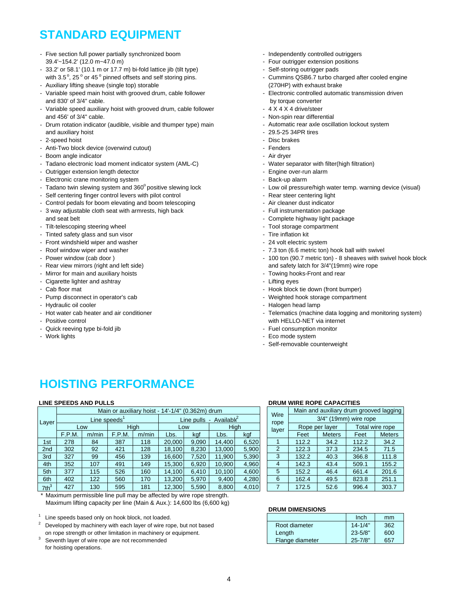## **STANDARD EQUIPMENT**

- Five section full power partially synchronized boom Independently controlled outriggers 39.4'~154.2' (12.0 m~47.0 m) and the state of the state of the state of the state of the state of the state of the state of the state of the state of the state of the state of the state of the state of the state of the sta
- 33.2' or 58.1' (10.1 m or 17.7 m) bi-fold lattice jib (tilt type) Self-storing outrigger pads
- with 3.5 $^{\circ}$ , 25 $^{\circ}$  or 45 $^{\circ}$ - Auxiliary lifting sheave (single top) storable (270HP) with exhaust brake
- Variable speed main hoist with grooved drum, cable follower - Flectronic controlled automatic transmission driven and 830' of 3/4" cable. by torque converter and 830' of 3/4" cable.
- Variable speed auxiliary hoist with grooved drum, cable follower 4 X 4 X 4 drive/steer and 456' of 3/4" cable.  $\blacksquare$
- Drum rotation indicator (audible, visible and thumper type) main Automatic rear axle oscillation lockout system and auxiliary hoist **and auxiliary hoist**  $\sim$  29.5-25 34PR tires
- 2-speed hoist  $\overline{\phantom{a}}$  Disc brakes
- Anti-Two block device (overwind cutout) and the state of the state of the Fenders
- Boom angle indicator Air dryer Air dryer Air dryer Air dryer
- Tadano electronic load moment indicator system (AML-C) Water separator with filter(high filtration)
- Outrigger extension length detector Engine over-run alarm
- Electronic crane monitoring system Back-up alarm Back-up alarm
- Tadano twin slewing system and 360° positive slewing lock Low oil pressure/high water temp. warning device (visual)
- Self centering finger control levers with pilot control **Figure 2012** Rear steer centering light
- Control pedals for boom elevating and boom telescoping Air cleaner dust indicator
- 3 way adjustable cloth seat with armrests, high back Full instrumentation package and seat belt - Complete highway light package
- Tilt-telescoping steering wheel **Accord 2008** 2009 12:00 12:00 12:00 12:00 12:00 12:00 12:00 12:00 12:00 12:00 12:00 12:00 12:00 12:00 12:00 12:00 12:00 12:00 12:00 12:00 12:00 12:00 12:00 12:00 12:00 12:00 12:00 12:00 1
- Tinted safety glass and sun visor Time inflation kit Time inflation kit
- Front windshield wiper and washer 24 volt electric system
- 
- 
- 
- Mirror for main and auxiliary hoists Towing hooks-Front and rear
- Cigarette lighter and ashtray Lifting eyes
- 
- 
- 
- 
- 
- Quick reeving type bi-fold jib  $\blacksquare$
- 
- 
- 
- 
- Cummins QSB6.7 turbo charged after cooled engine
- 
- 
- 
- 
- 
- 
- 
- 
- 
- 
- 
- 
- 
- 
- 
- 
- 
- 
- 
- Roof window wiper and washer  $\sim$  7.3 ton (6.6 metric ton) hook ball with swivel
- Power window (cab door ) 100 ton (90.7 metric ton) 8 sheaves with swivel hook block - Rear view mirrors (right and left side) and safety latch for  $3/4$ "(19mm) wire rope
	-
	-
- Cab floor mat  $\sim$  Hook block tie down (front bumper)
- Pump disconnect in operator's cab Weighted hook storage compartment
- Hydraulic oil cooler  $\blacksquare$
- Hot water cab heater and air conditioner Telematics (machine data logging and monitoring system) - Positive control with HELLO-NET via internet
	-
- Work lights  **Eco mode system** 
	- Self-removable counterweight

## **HOISTING PERFORMANCE**

#### **LINE SPEEDS AND PULLS**

|                  |        |       |                 |             | Main or auxiliary hoist - 14'-1/4" (0.362m) drum |            |                      |       |              |       |                       | Main and auxiliary drum grooved laggin |                 |  |  |
|------------------|--------|-------|-----------------|-------------|--------------------------------------------------|------------|----------------------|-------|--------------|-------|-----------------------|----------------------------------------|-----------------|--|--|
| Layer            |        |       | Line speeds $1$ |             |                                                  | Line pulls | Available $\epsilon$ |       | Wire<br>rope |       | 3/4" (19mm) wire rope |                                        |                 |  |  |
|                  |        | Low   |                 | <b>High</b> | Low                                              |            | High                 |       | layer        |       | Rope per layer        |                                        | Total wire rope |  |  |
|                  | F.P.M. | m/min | F.P.M.          | m/min       | Lbs.                                             | kaf        | Lbs.                 | kgf   |              | Feet  | <b>Meters</b>         | Feet                                   | Meters          |  |  |
| 1st              | 278    | 84    | 387             | 118         | 20,000                                           | 9,090      | 14,400               | 6,520 |              | 112.2 | 34.2                  | 112.2                                  | 34.2            |  |  |
| 2 <sub>nd</sub>  | 302    | 92    | 421             | 128         | 18.100                                           | 8,230      | 13,000               | 5,900 | 2            | 122.3 | 37.3                  | 234.5                                  | 71.5            |  |  |
| 3rd              | 327    | 99    | 456             | 139         | 16.600                                           | 7.520      | 11.900               | 5,390 | 3            | 132.2 | 40.3                  | 366.8                                  | 111.8           |  |  |
| 4th              | 352    | 107   | 491             | 149         | 15.300                                           | 6,920      | 10.900               | 4,960 | 4            | 142.3 | 43.4                  | 509.1                                  | 155.2           |  |  |
| 5th              | 377    | 115   | 526             | 160         | 14.100                                           | 6.410      | 10,100               | 4,600 | 5            | 152.2 | 46.4                  | 661.4                                  | 201.6           |  |  |
| 6th              | 402    | 122   | 560             | 170         | 13,200                                           | 5,970      | 9,400                | 4,280 | 6            | 162.4 | 49.5                  | 823.8                                  | 251.1           |  |  |
| 7th <sup>3</sup> | 427    | 130   | 595             | 181         | 12,300                                           | 5,590      | 8,800                | 4,010 |              | 172.5 | 52.6                  | 996.4                                  | 303.7           |  |  |
|                  |        |       |                 |             |                                                  |            |                      |       |              |       |                       |                                        |                 |  |  |

Maximum permissible line pull may be affected by wire rope strength. Maximum lifting capacity per line (Main & Aux.): 14,600 lbs (6,600 kg)

Line speeds based only on hook block, not loaded.

- Developed by machinery with each layer of wire rope, but not based on rope strength or other limitation in machinery or equipment.
- Seventh layer of wire rope are not recommended for hoisting operations.

#### **DRUM WIRE ROPE CAPACITIES**

|              |       | Main and auxiliary drum grooved lagging |       |                 |
|--------------|-------|-----------------------------------------|-------|-----------------|
| Wire<br>rope |       | 3/4" (19mm) wire rope                   |       |                 |
| layer        |       | Rope per layer                          |       | Total wire rope |
|              | Feet  | <b>Meters</b>                           | Feet  | <b>Meters</b>   |
| 1            | 112.2 | 34.2                                    | 112.2 | 34.2            |
| 2            | 122.3 | 37.3                                    | 234.5 | 71.5            |
| 3            | 132.2 | 40.3                                    | 366.8 | 111.8           |
| 4            | 142.3 | 43.4                                    | 509.1 | 155.2           |
| 5            | 152.2 | 46.4                                    | 661.4 | 201.6           |
| 6            | 162.4 | 49.5                                    | 823.8 | 251.1           |
| 7            | 172.5 | 52.6                                    | 996.4 | 303.7           |

#### **DRUM DIMENSIONS**

|                 | Inch        | mm  |
|-----------------|-------------|-----|
| Root diameter   | $14 - 1/4"$ | 362 |
| Length          | $23 - 5/8"$ | 600 |
| Flange diameter | $25 - 7/8"$ | 657 |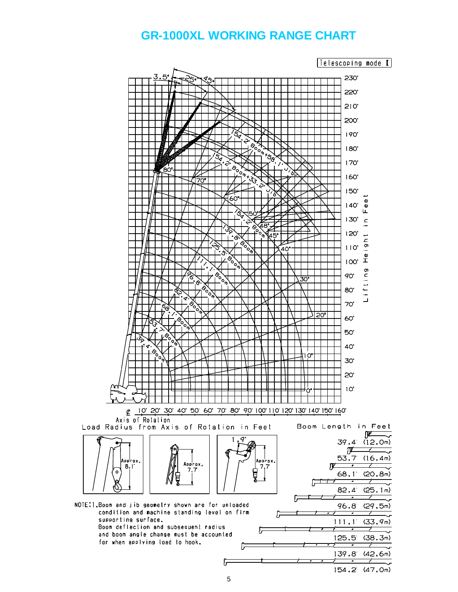### **GR-1000XL WORKING RANGE CHART**

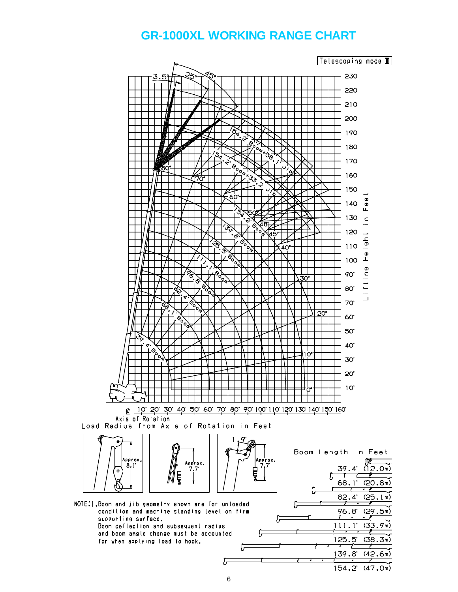### **GR-1000XL WORKING RANGE CHART**



154.2 (47.0m)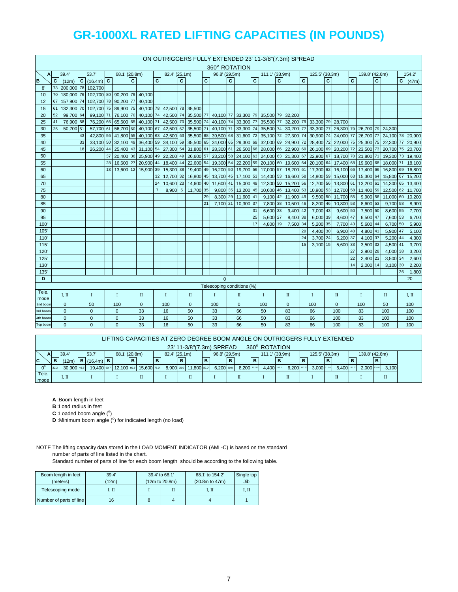|                  | ON OUTRIGGERS FULLY EXTENDED 23' 11-3/8"(7.3m) SPREAD<br>360° ROTATION |                                        |    |                          |                 |                  |              |              |              |                            |              |              |              |               |   |                               |    |                |   |                     |              |                      |   |                            |    |                      |    |                      |              |                |
|------------------|------------------------------------------------------------------------|----------------------------------------|----|--------------------------|-----------------|------------------|--------------|--------------|--------------|----------------------------|--------------|--------------|--------------|---------------|---|-------------------------------|----|----------------|---|---------------------|--------------|----------------------|---|----------------------------|----|----------------------|----|----------------------|--------------|----------------|
|                  |                                                                        |                                        |    |                          |                 |                  |              |              |              |                            |              |              |              |               |   |                               |    |                |   |                     |              |                      |   |                            |    |                      |    |                      |              |                |
| A                | C                                                                      | 39.4'                                  |    | 53.7'<br>$C$ (16.4m) $C$ |                 | 68.1' (20.8m)    | $\mathbf{C}$ |              | $\mathbf{C}$ | 82.4' (25.1m)              | $\mathbf{C}$ |              | $\mathbf{C}$ | 96.8' (29.5m) |   |                               | C  | 111.1' (33.9m) | C |                     | $\mathbf{C}$ | 125.5' (38.3m)       |   |                            | C  | 139.8' (42.6m)       |    |                      | $\mathbf{c}$ | 154.2          |
| B<br>$8^{\circ}$ | 73                                                                     | (12m)<br>200,000 78 102,700            |    |                          |                 |                  |              |              |              |                            |              |              |              |               | C |                               |    |                |   |                     |              |                      | c |                            |    |                      | C  |                      |              | (47m)          |
| 10               | 70                                                                     | 180,000 76 102,700 80 90,200 79 40,100 |    |                          |                 |                  |              |              |              |                            |              |              |              |               |   |                               |    |                |   |                     |              |                      |   |                            |    |                      |    |                      |              |                |
| 12               |                                                                        | 157,900 74                             |    | 102,700 78 90,200        |                 |                  | 77           | 40,100       |              |                            |              |              |              |               |   |                               |    |                |   |                     |              |                      |   |                            |    |                      |    |                      |              |                |
| 15'              | 61                                                                     | 132,300 70                             |    | 102,700 75               |                 | 89,900 75        |              |              |              | 40,100 78 42,500 78 35,500 |              |              |              |               |   |                               |    |                |   |                     |              |                      |   |                            |    |                      |    |                      |              |                |
| $20^{\circ}$     | 52                                                                     | 99,700                                 | 64 | 99,100                   | 71              | 76,100           | 70           | 40,100 74    |              | 42,500 74                  |              |              |              |               |   | 35,500 77 40,100 77 33,300 79 |    |                |   | 35,500 79 32,200    |              |                      |   |                            |    |                      |    |                      |              |                |
| 25'              | 41                                                                     | 76,900 58                              |    | 76.200                   | 66              | 65.600           | 65           | 40.100 71    |              | 42,500 70                  |              | 35.500 74    |              |               |   | 40,100 74 33,300 77           |    | 35,500 77      |   | 32.200 79 33.300 79 |              |                      |   | 28,700                     |    |                      |    |                      |              |                |
| 30'              | 25                                                                     | 50,700 51                              |    | 57.700 61                |                 | 56.700           | 60           | 40.100 67    |              | 42,500                     | 67           | 35,500 71    |              |               |   | 40,100 71 33,300 74           |    | 35,500 74      |   | 30,200              | 77           | 33,300 77            |   | 26,300 79 26,700 79 24,300 |    |                      |    |                      |              |                |
| 35'              |                                                                        |                                        | 43 |                          |                 | 42,800 56 41,800 | 55           | 40,100 63    |              | 42,500                     | 63           | 35,500 68    |              |               |   | 39,500 68 31,600 72           |    | 35,100 72      |   | 27,300              | 74           | 30,900 74            |   | 24,000 77                  |    | 26,700 77            |    | 24,100 78            |              | 20,900         |
| 40               |                                                                        |                                        | 33 | 33,100 50                |                 | 32,100           | 49           | 36,400 59    |              | 34,100 59                  |              | 35,500 65    |              | 34,000 65     |   | 29,300 69                     |    | 32,000 69      |   | 24,900              | 72           | 28,400 72            |   | 22,000 75                  |    | 25,300 75            |    | 22,300 77            |              | 20,900         |
| 45'              |                                                                        |                                        | 18 | 26,200 44                |                 | 25,400           | 43           | 31,100 54    |              | 27,300 54                  |              | 31,800 61    |              |               |   | 28,300 61 26,500 66           |    |                |   | 28,000 66 22,900 69 |              | 26,100 69            |   | 20,200 72                  |    | 23,500 73            |    | 20,700 75            |              | 20,700         |
| 50               |                                                                        |                                        |    |                          | 37              | 20,400           | 36           | 25,900 49    |              | 22,200                     | 49           | 26,600 57    |              |               |   | 23,200 58 24,100 63           |    |                |   | 24,000 63 21,300 67 |              | 22,900 67            |   | 18,700 70                  |    | 21,800 71            |    | 19,300 73            |              | 19,400         |
| 55'              |                                                                        |                                        |    |                          | 28              | 16,600           | 27           | 20,900 44    |              | 18,400                     | 44           | 22,600 54    |              | 19,300 54     |   | 22,200 59                     |    | 20,100 60      |   | 19,600              | 64           | 20,100 64            |   | 17,400 68                  |    | 19,600 68            |    | 18,000 71            |              | 18,100         |
| 60               |                                                                        |                                        |    |                          | 13 <sup>1</sup> | 13,600           | 12           | 15,900 39    |              | 15,300 38                  |              | 19,400       | 49           |               |   | 16,200 50 19,700 56           |    | 17,000 57      |   | 18,200 61           |              | 17,300 62            |   | 16,100 66                  |    | 17,400               | 66 | 16,800 69            |              | 16,800         |
| 65'              |                                                                        |                                        |    |                          |                 |                  |              |              | 32           | 12.700 32                  |              | 16.800 45    |              |               |   | 13,700 45 17,100 53           |    | 14,400 53      |   | 16,600 58           |              | 14,800 59            |   | 15,000 63                  |    | 15,300 64            |    | 15,800 67            |              | 15,200         |
| 70               |                                                                        |                                        |    |                          |                 |                  |              |              | 24           | 10.600 23                  |              | 14,600 40    |              |               |   | 11,600 41 15,000 49           |    | 12,300 50      |   | 15,200 56           |              | 12.700 56            |   | 13,800 61                  |    | 13,200 61            |    | 14.300 65            |              | 13,400         |
| 75'              |                                                                        |                                        |    |                          |                 |                  |              |              |              | 8,900                      |              | 5 11,700 35  |              |               |   | 9,800 35 13,200 45            |    |                |   | 10,600 46 13,400 53 |              |                      |   | 10,900 53 12,700 58        |    | 11,400 59            |    | 12,500 62            |              | 11,700         |
| 80'              |                                                                        |                                        |    |                          |                 |                  |              |              |              |                            |              |              | 29           |               |   | 8,300 29 11,600 41            |    | 9,100          |   | 42 11,900           | 49           |                      |   | 9,500 50 11,700 55         |    | 9,900 56             |    | 11,000 60            |              | 10,200         |
| 85'              |                                                                        |                                        |    |                          |                 |                  |              |              |              |                            |              |              | 21           |               |   | 7,100 21 10,300 37            |    | 7,800 38       |   | 10,500 46           |              | 8,200 46             |   | 10,800 53                  |    | 8,600 53             |    | 9,700 58             |              | 8,900          |
| 90'              |                                                                        |                                        |    |                          |                 |                  |              |              |              |                            |              |              |              |               |   |                               | 31 | 6,600 33       |   | 9,400               | 42           | 7,000 43             |   | 9,600 50                   |    | 7,500 50             |    | 8,600 55             |              | 7,700          |
| 95'              |                                                                        |                                        |    |                          |                 |                  |              |              |              |                            |              |              |              |               |   |                               | 25 | 5,600 27       |   | 8,400 38            |              | 6,000 39             |   | 8,600 47                   |    | 6,500 47             |    | 7,600 53             |              | 6,700          |
| 100              |                                                                        |                                        |    |                          |                 |                  |              |              |              |                            |              |              |              |               |   |                               | 17 | 4,800 19       |   | 7,500 34            |              | 5,200 35             |   | 7,700 43                   |    | 5,600 44             |    | 6,700 50             |              | 5,900          |
| 105              |                                                                        |                                        |    |                          |                 |                  |              |              |              |                            |              |              |              |               |   |                               |    |                |   |                     | 29           | 4,400 30             |   | 6,900 40                   |    | 4,800 41             |    | 5,900 47             |              | 5,100          |
| 110'<br>115'     |                                                                        |                                        |    |                          |                 |                  |              |              |              |                            |              |              |              |               |   |                               |    |                |   |                     | 24<br>15     | 3,700 24<br>3,100 15 |   | 6,200 37<br>5,600 33       |    | 4,100 37<br>3,500 32 |    | 5,200 44<br>4,500 41 |              | 4,300<br>3,700 |
| 120              |                                                                        |                                        |    |                          |                 |                  |              |              |              |                            |              |              |              |               |   |                               |    |                |   |                     |              |                      |   |                            | 27 | 2,900 28             |    | 4,000 38             |              | 3,200          |
| 125'             |                                                                        |                                        |    |                          |                 |                  |              |              |              |                            |              |              |              |               |   |                               |    |                |   |                     |              |                      |   |                            | 22 | 2,400 23             |    | 3,500 34             |              | 2,600          |
| 130              |                                                                        |                                        |    |                          |                 |                  |              |              |              |                            |              |              |              |               |   |                               |    |                |   |                     |              |                      |   |                            | 14 | 2,000 14             |    | 3,100 30             |              | 2,200          |
| 135              |                                                                        |                                        |    |                          |                 |                  |              |              |              |                            |              |              |              |               |   |                               |    |                |   |                     |              |                      |   |                            |    |                      |    |                      | 26           | 1,800          |
| D                |                                                                        |                                        |    |                          |                 |                  |              |              |              |                            |              |              |              | $\Omega$      |   |                               |    |                |   |                     |              |                      |   |                            |    |                      |    |                      |              | 20             |
|                  |                                                                        |                                        |    |                          |                 |                  |              |              |              |                            |              |              |              |               |   | Telescoping conditions (%)    |    |                |   |                     |              |                      |   |                            |    |                      |    |                      |              |                |
| Tele.            |                                                                        | I. II                                  |    | Ι.                       |                 | $\mathbf{I}$     |              | $\;$ II      |              | $\bf{I}$                   |              | $\mathbf{I}$ |              | $\mathbf{I}$  |   | $\Pi$                         |    | $\mathbf{I}$   |   | $\mathbf{I}$        |              | $\mathbf{I}$         |   | П                          |    | T                    |    | $\mathbf{I}$         |              | I, II          |
| mode<br>2nd boon |                                                                        | $\Omega$                               |    | 50                       |                 | 100              |              | $\mathbf{0}$ |              | 100                        |              | $\mathbf{0}$ |              | 100           |   | $\Omega$                      |    | 100            |   | $\mathbf{0}$        |              | 100                  |   | $\mathbf{0}$               |    | 100                  |    | 50                   |              | 100            |
| 3rd boom         |                                                                        | $\Omega$                               |    | $\mathbf{0}$             |                 | $\Omega$         |              | 33           |              | 16                         |              | 50           |              | 33            |   | 66                            |    | 50             |   | 83                  |              | 66                   |   | 100                        |    | 83                   |    | 100                  |              | 100            |
| 4th boon         |                                                                        | $\Omega$                               |    | $\mathbf{0}$             |                 | $\Omega$         |              | 33           |              | 16                         |              | 50           |              | 33            |   | 66                            |    | 50             |   | 83                  |              | 66                   |   | 100                        |    | 83                   |    | 100                  |              | 100            |
| Top boom         |                                                                        | $\Omega$                               |    | $\Omega$                 |                 | $\Omega$         |              | 33           |              | 16                         |              | 50           |              | 33            |   | 66                            |    | 50             |   | 83                  |              | 66                   |   | 100                        |    | 83                   |    | 100                  |              | 100            |

| LIFTING CAPACITIES AT ZERO DEGREE BOOM ANGLE ON OUTRIGGERS FULLY EXTENDED |                                                                                                                             |             |  |                             |  |                         |   |             |  |  |   |                        |  |            |   |             |   |             |          |             |   |             |   |             |           |     |       |  |
|---------------------------------------------------------------------------|-----------------------------------------------------------------------------------------------------------------------------|-------------|--|-----------------------------|--|-------------------------|---|-------------|--|--|---|------------------------|--|------------|---|-------------|---|-------------|----------|-------------|---|-------------|---|-------------|-----------|-----|-------|--|
|                                                                           | 360° ROTATION<br>23' 11-3/8"(7.3m) SPREAD                                                                                   |             |  |                             |  |                         |   |             |  |  |   |                        |  |            |   |             |   |             |          |             |   |             |   |             |           |     |       |  |
|                                                                           | 125.5' (38.3m)<br>139.8' (42.6m)<br>96.8' (29.5m)<br>39.4'<br>53.7<br>68.1' (20.8m)<br>82.4' (25.1m)<br>111.1' (33.9m)<br>А |             |  |                             |  |                         |   |             |  |  |   |                        |  |            |   |             |   |             |          |             |   |             |   |             |           |     |       |  |
| C                                                                         |                                                                                                                             | (12m)       |  | <b>B</b> $(16.4m)$ <b>B</b> |  |                         | B |             |  |  | B |                        |  |            | в |             | в |             | <b>B</b> |             | в |             | в |             |           | IB. |       |  |
|                                                                           | 132.2                                                                                                                       | 30,900 46.6 |  |                             |  | 19.400 60.7 12.100 60.5 |   | 15.600 75.0 |  |  |   | 8,900 75.0 11,800 89.0 |  | 6.200 89.0 |   | 8.200 102.0 |   | 4.400 103.0 |          | 6.200 117.0 |   | 3.000 116.0 |   | 5.400 131.0 | 2.000 130 |     | 3,100 |  |
| Tele.<br>Π<br>$\mathbf{I}$ . $\mathbf{II}$                                |                                                                                                                             |             |  |                             |  |                         |   |             |  |  |   |                        |  |            |   |             |   |             |          |             |   |             |   |             |           |     |       |  |
| mode                                                                      |                                                                                                                             |             |  |                             |  |                         |   |             |  |  |   |                        |  |            |   |             |   |             |          |             |   |             |   |             |           |     |       |  |

**A** :Boom length in feet

**B** :Load radius in feet

 $C$  : Loaded boom angle  $(°)$ 

**D** :Minimum boom angle (°) for indicated length (no load)

NOTE The lifting capacity data stored in the LOAD MOMENT INDICATOR (AML-C) is based on the standard number of parts of line listed in the chart.

| Boom length in feet     | 39.4' | 39.4' to 68.1' |                | 68.1' to 154.2'      | Single top |
|-------------------------|-------|----------------|----------------|----------------------|------------|
| (meters)                | (12m) |                | (12m to 20.8m) | $(20.8m)$ to $47m$ ) | Jib        |
| Telescoping mode        | 7. П  |                |                | I. II                | I. II      |
| Number of parts of line | 16    |                |                |                      |            |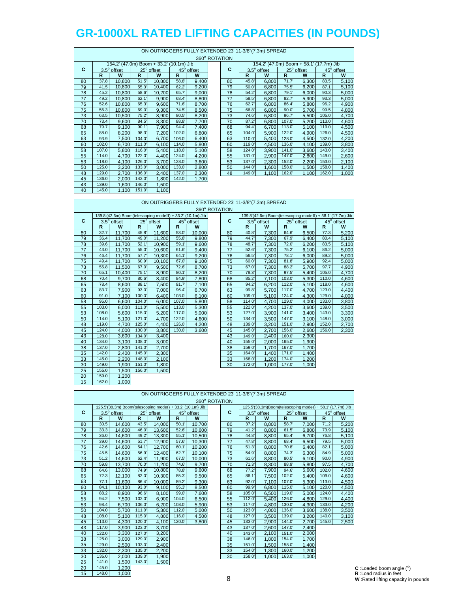|    |       |                                         |       |            |       |            | 360° ROTATION |       | ON OUTRIGGERS FULLY EXTENDED 23' 11-3/8"(7.3m) SPREAD |                 |
|----|-------|-----------------------------------------|-------|------------|-------|------------|---------------|-------|-------------------------------------------------------|-----------------|
|    |       | 154.2' (47.0m) Boom + 33.2' (10.1m) Jib |       |            |       |            |               |       | 154.2' (47.0m) B                                      |                 |
| C  |       | 3.5° offset                             |       | 25° offset |       | 45° offset | C             |       | $3.5^\circ$ offset                                    | 2               |
|    | R     | W                                       | R     | W          | R     | W          |               | R     | W                                                     | R               |
| 80 | 37.8' | 10,800                                  | 51.5' | 10,800     | 58.8' | 9,400      | 80            | 45.8' | 6,800                                                 | $\overline{71}$ |
| 79 | 41.5  | 10,800                                  | 55.3' | 10,400     | 62.2' | 9,200      | 79            | 50.0  | 6,800                                                 | 75              |
| 78 | 45.2  | 10,800                                  | 58.6  | 10,200     | 65.7  | 9,000      | 78            | 54.2' | 6,800                                                 | 79              |
| 77 | 49.2' | 10,800                                  | 62.1' | 9,900      | 68.4  | 8,800      | 77            | 58.5' | 6,800                                                 | 82              |
| 76 | 52.6' | 10,800                                  | 65.3' | 9,600      | 71.6' | 8,700      | 76            | 62.7  | 6,800                                                 | 86              |
| 75 | 56.3  | 10,800                                  | 69.0  | 9,300      | 74.5' | 8,500      | 75            | 66.8  | 6,800                                                 | 90              |
| 73 | 63.5' | 10,500                                  | 75.2' | 8,900      | 80.5' | 8,200      | 73            | 74.6  | 6,800                                                 | 96              |
| 70 | 73.4' | 9,600                                   | 84.5' | 8,300      | 88.8' | 7,700      | 70            | 87.2' | 6,800                                                 | 107             |
| 68 | 79.7  | 9,100                                   | 90.1' | 7,900      | 94.4  | 7,400      | 68            | 94.4  | 6,700                                                 | 113             |
| 65 | 88.0  | 8,200                                   | 98.3' | 7,200      | 102.0 | 6,800      | 65            | 104.0 | 5,900                                                 | 122             |
| 63 | 93.9  | 7,500                                   | 104.0 | 6,700      | 106.0 | 6,400      | 63            | 110.0 | 5,400                                                 | 128             |
| 60 | 102.0 | 6.700                                   | 111.0 | 6.100      | 114.0 | 5,800      | 60            | 119.0 | 4.500                                                 | 136             |
| 58 | 107.0 | 5,800                                   | 116.0 | 5,400      | 118.0 | 5,100      | 58            | 124.0 | 3,900                                                 | 141             |
| 55 | 114.0 | 4,700                                   | 122.0 | 4,400      | 124.0 | 4,200      | 55            | 131.0 | 2,900                                                 | 147             |
| 53 | 118.0 | 4,100                                   | 126.0 | 3,700      | 128.0 | 3,600      | 53            | 137.0 | 2,300                                                 | 152             |
| 50 | 125.0 | 3,200                                   | 133.0 | 3,000      | 133.0 | 2,800      | 50            | 144.0 | 1,600                                                 | 158             |
| 48 | 129.0 | 2,700                                   | 136.0 | 2,400      | 137.0 | 2,300      | 48            | 149.0 | 1,100                                                 | 162             |
| 45 | 136.0 | 2,000                                   | 142.0 | 1,800      | 142.0 | 1,700      |               |       |                                                       |                 |
| 43 | 139.0 | 1,600                                   | 146.0 | 1,500      |       |            |               |       |                                                       |                 |
| 40 | 145.0 | 1,100                                   | 151.0 | 1,100      |       |            |               |       |                                                       |                 |

|    |       |             |       |                                         |        |            | 360° ROTATION |        |                                         |        |            |       |            |
|----|-------|-------------|-------|-----------------------------------------|--------|------------|---------------|--------|-----------------------------------------|--------|------------|-------|------------|
|    |       |             |       | 154.2' (47.0m) Boom + 33.2' (10.1m) Jib |        |            |               |        | 154.2' (47.0m) Boom + 58.1' (17.7m) Jib |        |            |       |            |
| C  |       | 3.5° offset |       | 25° offset                              |        | 45° offset | c             |        | $3.5^\circ$ offset                      |        | 25° offset |       | 45° offset |
|    | R     | W           | R     | W                                       | R      | W          |               | R      | W                                       | R      | W          | R     | W          |
| 80 | 37.8' | 10,800      | 51.5' | 10,800                                  | 58.8   | 9,400      | 80            | 45.8'  | 6,800                                   | 71.7   | 6,300      | 83.5' | 5,100      |
| 79 | 41.5  | 10,800      | 55.3' | 10.400                                  | 62.2'  | 9,200      | 79            | 50.0'  | 6,800                                   | 75.5'  | 6,200      | 87.1' | 5,100      |
| 78 | 45.2' | 10,800      | 58.6  | 10,200                                  | 65.7   | 9,000      | 78            | 54.2'  | 6,800                                   | 79.1   | 6,000      | 90.3' | 5,000      |
| 77 | 49.2  | 10,800      | 62.1  | 9,900                                   | 68.4   | 8,800      | 77            | 58.5'  | 6,800                                   | 82.7'  | 5,900      | 93.3' | 5,000      |
| 76 | 52.6' | 10,800      | 65.3  | 9,600                                   | 71.6'  | 8,700      | 76            | 62.7   | 6,800                                   | 86.4   | 5,800      | 96.2  | 4,900      |
| 75 | 56.3  | 10.800      | 69.0  | 9,300                                   | 74.5'  | 8,500      | 75            | 66.8'  | 6,800                                   | 90.0'  | 5,700      | 99.5  | 4,800      |
| 73 | 63.5  | 10,500      | 75.2' | 8,900                                   | 80.5'  | 8,200      | 73            | 74.6'  | 6,800                                   | 96.7'  | 5,500      | 105.0 | 4,700      |
| 70 | 73.4  | 9,600       | 84.5' | 8,300                                   | 88.8   | 7,700      | 70            | 87.2'  | 6,800                                   | 107.0  | 5,200      | 113.0 | 4,600      |
| 68 | 79.7  | 9,100       | 90.1  | 7,900                                   | 94.4   | 7,400      | 68            | 94.4   | 6.700                                   | 113.0  | 5,100      | 119.0 | 4,500      |
| 65 | 88.0  | 8,200       | 98.3' | 7,200                                   | 102.0  | 6,800      | 65            | 104.0  | 5,900                                   | 122.0' | 4,900      | 126.0 | 4,500      |
| 63 | 93.9' | 7,500       | 104.0 | 6.700                                   | 106.0  | 6,400      | 63            | 110.0  | 5,400                                   | 128.0' | 4.500      | 132.0 | 4,200      |
| 60 | 102.0 | 6.700       | 111.0 | 6.100                                   | 114.0  | 5,800      | 60            | 119.0  | 4.500                                   | 136.0' | 4.100      | 139.0 | 3,800      |
| 58 | 107.0 | 5,800       | 116.0 | 5,400                                   | 118.0  | 5,100      | 58            | 124.0' | 3,900                                   | 141.0  | 3.600      | 143.0 | 3,400      |
| 55 | 114.0 | 4.700       | 122.0 | 4.400                                   | 124.0' | 4,200      | 55            | 131.0  | 2.900                                   | 147.0  | 2.800      | 149.0 | 2,600      |
| 53 | 118.0 | 4,100       | 126.0 | 3,700                                   | 128.0  | 3,600      | 53            | 137.0  | 2,300                                   | 152.0  | 2,200      | 153.0 | 2,100      |
| 50 | 125.0 | 3,200       | 133.0 | 3.000                                   | 133.0  | 2,800      | 50            | 144.0  | 1,600                                   | 158.0  | 1.500      | 158.0 | 1,400      |
| 48 | 129.0 | 2,700       | 136.0 | 2,400                                   | 137.0  | 2,300      | 48            | 149.0  | 1.100                                   | 162.0  | 1.100      | 162.0 | 1,000      |
|    |       |             |       |                                         |        |            |               |        |                                         |        |            |       |            |

|    |        |                    |        |                                                            |        |            | 360° ROTATION |       |                                       |        |            |
|----|--------|--------------------|--------|------------------------------------------------------------|--------|------------|---------------|-------|---------------------------------------|--------|------------|
|    |        |                    |        | 139.8'(42.6m) Boom(telescoping modeII) + 33.2' (10.1m) Jib |        |            |               |       | 139.8'(42.6m) Boom(telescoping model) |        |            |
| C  |        | $3.5^\circ$ offset |        | 25° offset                                                 |        | 45° offset | C             |       | 3.5° offset                           |        | 25° offset |
|    | R      | W                  | R.     | W                                                          | R      | W          |               | R     | W                                     | R      | W          |
| 80 | 32.7'  | 11,700             | 45.8'  | 11,600                                                     | 53.0   | 10,000     | 80            | 40.8  | 7,300                                 | 64.6   | 6,500      |
| 79 | 36.4'  | 11,700             | 49.0   | 11,200                                                     | 55.8'  | 9.800      | 79            | 44.7  | 7,300                                 | 67.9   | 6.400      |
| 78 | 39.6'  | 11,700             | 52.1'  | 10,900                                                     | 59.1'  | 9,600      | 78            | 48.7  | 7,300                                 | 72.0'  | 6,200      |
| 77 | 43.0'  | 11,700             | 55.0'  | 10,600                                                     | 61.6'  | 9,400      | 77            | 52.6' | 7,300                                 | 75.2'  | 6,100      |
| 76 | 46.4   | 11.700             | 57.7'  | 10.300                                                     | 64.1'  | 9.200      | 76            | 56.5' | 7.300                                 | 78.1'  | 6.000      |
| 75 | 49.4   | 11,700             | 60.9   | 10.100                                                     | 67.0   | 9,100      | 75            | 60.0  | 7.300                                 | 81.8'  | 5,900      |
| 73 | 55.8'  | 11,500             | 67.0   | 9,500                                                      | 72.6'  | 8,700      | 73            | 67.0  | 7,300                                 | 88.2   | 5,700      |
| 70 | 65.1'  | 10.400             | 75.1'  | 8.900                                                      | 80.1'  | 8.200      | 70            | 78.3' | 7,300                                 | 97.5'  | 5.400      |
| 68 | 70.4   | 9.700              | 80.6'  | 8.400                                                      | 84.9'  | 7,800      | 68            | 85.2' | 7.100                                 | 103.0  | 5,300      |
| 65 | 78.4   | 8,600              | 88.1'  | 7,500                                                      | 91.7'  | 7,100      | 65            | 94.2  | 6,200                                 | 112.0  | 5,100      |
| 63 | 83.7   | 7,900              | 93.0'  | 7.000                                                      | 96.4   | 6.700      | 63            | 99.8  | 5,700                                 | 117.0  | 4,700      |
| 60 | 91.0'  | 7,100              | 100.0  | 6.400                                                      | 103.0  | 6,100      | 60            | 109.0 | 5,100                                 | 124.0  | 4,300      |
| 58 | 96.0'  | 6,600              | 104.0  | 6.000                                                      | 107.0  | 5,800      | 58            | 114.0 | 4.700                                 | 129.0  | 4,000      |
| 55 | 103.0  | 6.000              | 111.0  | 5.500                                                      | 113.0  | 5.300      | 55            | 122.0 | 4.200                                 | 137.0' | 3.600      |
| 53 | 108.0  | 5,600              | 115.0' | 5,200                                                      | 117.0  | 5,000      | 53            | 127.0 | 3,900                                 | 141.0  | 3,400      |
| 50 | 114.0  | 5,100              | 121.0  | 4,700                                                      | 122.0  | 4,600      | 50            | 134.0 | 3,500                                 | 147.0  | 3,100      |
| 48 | 119.0' | 4.700              | 125.0' | 4.400                                                      | 126.0' | 4,200      | 48            | 139.0 | 3,200                                 | 151.0' | 2,900      |
| 45 | 124.0  | 4.000              | 130.0  | 3.800                                                      | 130.0  | 3,600      | 45            | 145.0 | 2.700                                 | 156.0  | 2,600      |
| 43 | 128.0  | 3,600              | 134.0  | 3,400                                                      |        |            | 43            | 149.0 | 2,400                                 | 160.0  | 2,300      |
| 40 | 134.0  | 3,100              | 138.0  | 3,000                                                      |        |            | 40            | 155.0 | 2,000                                 | 165.0  | 1,900      |
| 38 | 137.0  | 2,800              | 141.0  | 2,700                                                      |        |            | 38            | 159.0 | 1,700                                 | 167.0  | 1,700      |
| 35 | 142.0  | 2,400              | 145.0  | 2,300                                                      |        |            | 35            | 164.0 | 1,400                                 | 171.0  | 1,400      |
| 33 | 145.0  | 2,200              | 148.0  | 2,100                                                      |        |            | 33            | 168.0 | 1,200                                 | 174.0  | 1,200      |
| 30 | 149.0  | 1.900              | 151.0  | 1,800                                                      |        |            | 30            | 172.0 | 1,000                                 | 177.0  | 1,000      |
| 25 | 155.0  | 1,500              | 156.0  | 1,500                                                      |        |            |               |       |                                       |        |            |
| 20 | 159.0  | 1,200              |        |                                                            |        |            |               |       |                                       |        |            |
| 15 | 162.0' | 1.000              |        |                                                            |        |            |               |       |                                       |        |            |

|    |        |                                                            |        |            |        |            | 360° ROTATION |        |                    |       |                                                            |              |            |
|----|--------|------------------------------------------------------------|--------|------------|--------|------------|---------------|--------|--------------------|-------|------------------------------------------------------------|--------------|------------|
|    |        | 139.8'(42.6m) Boom(telescoping modeII) + 33.2' (10.1m) Jib |        |            |        |            |               |        |                    |       | 139.8'(42.6m) Boom(telescoping modeII) + 58.1' (17.7m) Jib |              |            |
| C  |        | $3.5^\circ$ offset                                         |        | 25° offset |        | 45° offset | C             |        | $3.5^\circ$ offset |       | 25° offset                                                 |              | 45° offset |
|    | R      | W                                                          | R      | W          | R      | W          |               | R      | W                  | R     | W                                                          | $\mathsf{R}$ | W          |
| 80 | 32.7   | 11,700                                                     | 45.8'  | 11,600     | 53.0   | 10,000     | 80            | 40.8'  | 7,300              | 64.6  | 6,500                                                      | 77.3'        | 5,200      |
| 79 | 36.4   | 11.700                                                     | 49.0   | 11.200     | 55.8'  | 9,800      | 79            | 44.7   | 7.300              | 67.9  | 6.400                                                      | 80.4'        | 5,100      |
| 78 | 39.6   | 11,700                                                     | 52.1'  | 10,900     | 59.1'  | 9,600      | 78            | 48.7   | 7,300              | 72.0  | 6,200                                                      | 83.5'        | 5,100      |
| 77 | 43.0   | 11,700                                                     | 55.0   | 10,600     | 61.6   | 9,400      | 77            | 52.6'  | 7,300              | 75.2' | 6,100                                                      | 86.2         | 5,000      |
| 76 | 46.4   | 11.700                                                     | 57.7'  | 10.300     | 64.1'  | 9,200      | 76            | 56.5'  | 7.300              | 78.1  | 6.000                                                      | 89.2         | 5,000      |
| 75 | 49.4   | 11,700                                                     | 60.9   | 10,100     | 67.0   | 9,100      | 75            | 60.0   | 7,300              | 81.8' | 5,900                                                      | 92.4'        | 5,000      |
| 73 | 55.8'  | 11.500                                                     | 67.0   | 9,500      | 72.6'  | 8,700      | 73            | 67.0   | 7.300              | 88.2  | 5.700                                                      | 97.7'        | 4,900      |
| 70 | 65.1   | 10,400                                                     | 75.1'  | 8.900      | 80.1'  | 8,200      | 70            | 78.3'  | 7,300              | 97.5' | 5,400                                                      | 105.0        | 4,700      |
| 68 | 70.4   | 9.700                                                      | 80.6'  | 8,400      | 84.9   | 7,800      | 68            | 85.2'  | 7,100              | 103.0 | 5,300                                                      | 110.0        | 4,600      |
| 65 | 78.4   | 8.600                                                      | 88.1   | 7,500      | 91.7'  | 7,100      | 65            | 94.2'  | 6.200              | 112.0 | 5.100                                                      | 118.0        | 4,600      |
| 63 | 83.7   | 7,900                                                      | 93.0'  | 7,000      | 96.4   | 6,700      | 63            | 99.8'  | 5,700              | 117.0 | 4,700                                                      | 123.0'       | 4,400      |
| 60 | 91.0   | 7.100                                                      | 100.0  | 6.400      | 103.0  | 6,100      | 60            | 109.0  | 5,100              | 124.0 | 4,300                                                      | 129.0        | 4,000      |
| 58 | 96.0   | 6.600                                                      | 104.0  | 6,000      | 107.0  | 5,800      | 58            | 114.0  | 4,700              | 129.0 | 4.000                                                      | 133.0        | 3,800      |
| 55 | 103.0  | 6.000                                                      | 111.0' | 5,500      | 113.0  | 5,300      | 55            | 122.0' | 4.200              | 137.0 | 3.600                                                      | 139.0        | 3,500      |
| 53 | 108.0  | 5.600                                                      | 115.0  | 5,200      | 117.0  | 5,000      | 53            | 127.0  | 3.900              | 141.0 | 3,400                                                      | 143.0        | 3,300      |
| 50 | 114.0  | 5.100                                                      | 121.0  | 4.700      | 122.0  | 4,600      | 50            | 134.0  | 3.500              | 147.0 | 3.100                                                      | 148.0        | 3,000      |
| 48 | 119.0  | 4,700                                                      | 125.0  | 4.400      | 126.0  | 4,200      | 48            | 139.0  | 3,200              | 151.0 | 2,900                                                      | 152.0        | 2,700      |
| 45 | 124.0  | 4.000                                                      | 130.0  | 3.800      | 130.0' | 3,600      | 45            | 145.0  | 2.700              | 156.0 | 2.600                                                      | 156.0        | 2,300      |
| 43 | 128.0  | 3,600                                                      | 134.0  | 3,400      |        |            | 43            | 149.0  | 2,400              | 160.0 | 2,300                                                      |              |            |
| 40 | 134.0  | 3,100                                                      | 138.0  | 3,000      |        |            | 40            | 155.0  | 2,000              | 165.0 | 1,900                                                      |              |            |
| 38 | 137.0  | 2,800                                                      | 141.0  | 2,700      |        |            | 38            | 159.0  | 1,700              | 167.0 | 1,700                                                      |              |            |
| 35 | 142.0  | 2.400                                                      | 145.0  | 2,300      |        |            | 35            | 164.0  | 1.400              | 171.0 | 1,400                                                      |              |            |
| 33 | 145.0  | 2,200                                                      | 148.0  | 2,100      |        |            | 33            | 168.0  | 1,200              | 174.0 | 1,200                                                      |              |            |
| 30 | 149.0' | 1.900                                                      | 151.0  | 1.800      |        |            | 30            | 172.0  | 1.000              | 177.0 | 1.000                                                      |              |            |

|    |       |             |       | ON OUTRIGGERS FULLY EXTENDED 23' 11-3/8"(7.3m) SPREAD     |       |            |               |       |                    |       |                                                          |              |            |
|----|-------|-------------|-------|-----------------------------------------------------------|-------|------------|---------------|-------|--------------------|-------|----------------------------------------------------------|--------------|------------|
|    |       |             |       |                                                           |       |            | 360° ROTATION |       |                    |       |                                                          |              |            |
|    |       |             |       | 125.5'(38.3m) Boom(telescoping modeI) + 33.2' (10.1m) Jib |       |            |               |       |                    |       | 125.5'(38.3m)Boom(telescoping modeI) + 58.1' (17.7m) Jib |              |            |
| C  |       | 3.5° offset |       | 25 <sup>°</sup> offset                                    |       | 45° offset | C             |       | $3.5^\circ$ offset |       | 25 <sup>°</sup> offset                                   |              | 45° offset |
|    | R     | W           | R     | W                                                         | R     | W          |               | R     | W                  | R     | W                                                        | $\mathbb{R}$ | W          |
| 80 | 30.5' | 14.600      | 43.5' | 14,000                                                    | 50.1' | 10,700     | 80            | 37.2  | 8.800              | 58.7  | 7.000                                                    | 71.2'        | 5,200      |
| 79 | 33.3' | 14.600      | 46.0  | 13,600                                                    | 52.6' | 10.600     | 79            | 41.2  | 8.800              | 61.5' | 6.800                                                    | 73.9'        | 5,100      |
| 78 | 36.0  | 14.600      | 49.2  | 13.300                                                    | 55.1' | 10.500     | 78            | 44.8  | 8.800              | 65.4  | 6.700                                                    | 76.8         | 5.100      |
| 77 | 39.0  | 14.600      | 51.7  | 12.900                                                    | 57.6  | 10.300     | 77            | 47.8  | 8.800              | 68.4  | 6.500                                                    | 79.5'        | 5,000      |
| 76 | 42.6  | 14.600      | 54.1' | 12.700                                                    | 60.1' | 10.200     | 76            | 51.3' | 8,800              | 70.8  | 6.400                                                    | 82.1'        | 5,000      |
| 75 | 45.5' | 14.600      | 56.9  | 12,400                                                    | 62.7  | 10.100     | 75            | 54.9  | 8.800              | 74.3' | 6,300                                                    | 84.9         | 5,000      |
| 73 | 51.2' | 14.600      | 62.4  | 11.900                                                    | 67.5  | 10.000     | 73            | 61.6  | 8.800              | 80.5' | 6.100                                                    | 90.0'        | 4,900      |
| 70 | 59.8  | 13.700      | 70.0  | 11,200                                                    | 74.6' | 9.700      | 70            | 71.3' | 8.300              | 88.9' | 5.800                                                    | 97.5'        | 4.700      |
| 68 | 64.6  | 13.000      | 74.9  | 10.800                                                    | 78.8  | 9,600      | 68            | 77.2  | 7.900              | 94.6  | 5.600                                                    | 102.0        | 4.600      |
| 65 | 72.3' | 12.100      | 82.0  | 10.300                                                    | 85.3  | 9.500      | 65            | 86.1  | 7.500              | 102.0 | 5.400                                                    | 109.0        | 4,600      |
| 63 | 77.1  | 11,600      | 86.4  | 10.000                                                    | 89.2  | 9,300      | 63            | 92.0  | 7,100              | 107.0 | 5,300                                                    | 113.0        | 4,500      |
| 60 | 84.1  | 10.100      | 93.0' | 9.100                                                     | 95.3' | 8,500      | 60            | 99.9  | 6.800              | 115.0 | 5.100                                                    | 120.0        | 4,500      |
| 58 | 88.2  | 8,900       | 96.6' | 8,100                                                     | 99.0  | 7,600      | 58            | 105.0 | 6.500              | 119.0 | 5.000                                                    | 124.0        | 4,400      |
| 55 | 94.2  | 7.500       | 102.0 | 6.900                                                     | 104.0 | 6.500      | 55            | 112.0 | 5.400              | 126.0 | 4.800                                                    | 129.0        | 4,400      |
| 53 | 98.4  | 6.700       | 106.0 | 6.200                                                     | 108.0 | 5.900      | 53            | 117.0 | 4.800              | 130.0 | 4.300                                                    | 133.0'       | 4,200      |
| 50 | 104.0 | 5.700       | 111.0 | 5.300                                                     | 112.0 | 5.000      | 50            | 123.0 | 4.000              | 136.0 | 3.600                                                    | 138.0        | 3,500      |
| 48 | 108.0 | 5.100       | 115.0 | 4.800                                                     | 116.0 | 4,500      | 48            | 127.0 | 3.500              | 139.0 | 3.200                                                    | 140.0        | 3,100      |
| 45 | 113.0 | 4.300       | 120.0 | 4.100                                                     | 120.0 | 3,800      | 45            | 133.0 | 2,900              | 144.0 | 2.700                                                    | 145.0        | 2,500      |
| 43 | 117.0 | 3.900       | 123.0 | 3.700                                                     |       |            | 43            | 137.0 | 2.600              | 147.0 | 2.400                                                    |              |            |
| 40 | 122.0 | 3.300       | 127.0 | 3,200                                                     |       |            | 40            | 143.0 | 2.100              | 151.0 | 2,000                                                    |              |            |
| 38 | 125.0 | 3,000       | 129.0 | 2,900                                                     |       |            | 38            | 146.0 | 1.800              | 154.0 | 1,700                                                    |              |            |
| 35 | 129.0 | 2.500       | 133.0 | 2,400                                                     |       |            | 35            | 151.0 | 1.500              | 158.0 | 1,400                                                    |              |            |
| 33 | 132.0 | 2,300       | 135.0 | 2,200                                                     |       |            | 33            | 154.0 | 1,300              | 160.0 | 1,200                                                    |              |            |
| 30 | 136.0 | 2.000       | 139.0 | 1,900                                                     |       |            | 30            | 158.0 | 1.000              | 163.0 | 1,000                                                    |              |            |
| 25 | 141.0 | 1.500       | 143.0 | 1.500                                                     |       |            |               |       |                    |       |                                                          |              |            |

145.0' 1,200 **C** :Loaded boom angle ( o ) 15 148.0' 1,000 **R** :Load radius in feet **W** :Rated lifting capacity in pounds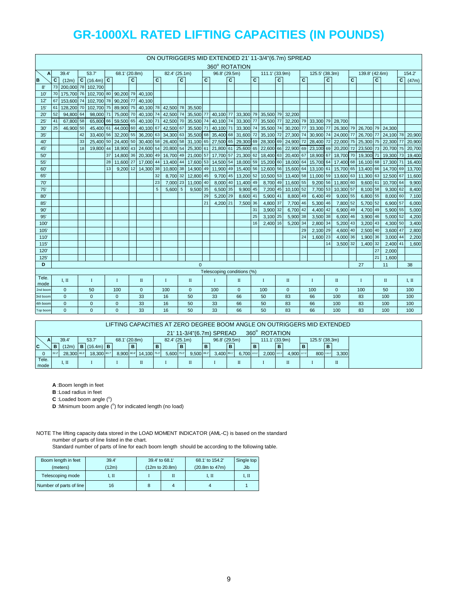|              |                                                                                                   |                                                                                          |    |                      |    |               |                |                               |    |               |              |              |              | 360° ROTATION                           |                |                     |                |                |                | ON OUTRIGGERS MID EXTENDED 21' 11-3/4"(6.7m) SPREAD                             |              |                |              |                                         |    |                |          |                  |                |
|--------------|---------------------------------------------------------------------------------------------------|------------------------------------------------------------------------------------------|----|----------------------|----|---------------|----------------|-------------------------------|----|---------------|--------------|--------------|--------------|-----------------------------------------|----------------|---------------------|----------------|----------------|----------------|---------------------------------------------------------------------------------|--------------|----------------|--------------|-----------------------------------------|----|----------------|----------|------------------|----------------|
| A            |                                                                                                   | 39.4'                                                                                    |    | 53.7'                |    | 68.1' (20.8m) |                |                               |    | 82.4' (25.1m) |              |              |              | 96.8' (29.5m)                           |                |                     |                | 111.1' (33.9m) |                |                                                                                 |              | 125.5' (38.3m) |              |                                         |    | 139.8' (42.6m) |          |                  | 154.2          |
| B            | $\overline{c}$                                                                                    | (12m)                                                                                    |    | $C$ (16.4m) $C$      |    |               | $\overline{c}$ |                               | C  |               | $\mathbf{C}$ |              | $\mathbf{c}$ |                                         | $\overline{c}$ |                     | $\overline{c}$ |                | $\overline{c}$ |                                                                                 | $\mathbf{c}$ |                | $\mathbf{C}$ |                                         | C. |                | C        |                  | $C \mid (47m)$ |
| 8'           | 73                                                                                                | 200.000 78 102.700                                                                       |    |                      |    |               |                |                               |    |               |              |              |              |                                         |                |                     |                |                |                |                                                                                 |              |                |              |                                         |    |                |          |                  |                |
| 10'          | 70                                                                                                | 175.700 76 102.700 80 90.200 79                                                          |    |                      |    |               |                | 40.100                        |    |               |              |              |              |                                         |                |                     |                |                |                |                                                                                 |              |                |              |                                         |    |                |          |                  |                |
| 12           | 67                                                                                                | 153,600 74                                                                               |    | 102,700 78 90,200 77 |    |               |                | 40,100                        |    |               |              |              |              |                                         |                |                     |                |                |                |                                                                                 |              |                |              |                                         |    |                |          |                  |                |
| 15'          | 61                                                                                                | 128,200 70                                                                               |    | 102,700 75           |    | 89,900 75     |                | 40,100 78 42,500 78 35,500    |    |               |              |              |              |                                         |                |                     |                |                |                |                                                                                 |              |                |              |                                         |    |                |          |                  |                |
| $20^{\circ}$ | 52                                                                                                | 98,000 71<br>75,000 70<br>40,100 74 42,500 74 35,500 77 40,100 77 33,300 79<br>94,800 64 |    |                      |    |               |                |                               |    |               |              |              |              |                                         |                |                     |                |                |                | 35,500 79 32,200                                                                |              |                |              |                                         |    |                |          |                  |                |
| 25           | 42,500 70 35,500 74 40,100 74 33,300 77<br>67,800 58<br>65,800 66<br>59,500 65<br>40,100 71<br>41 |                                                                                          |    |                      |    |               |                |                               |    |               |              |              |              |                                         |                |                     |                |                |                | 35,500 77 32,200 79 33,300 79 28,700                                            |              |                |              |                                         |    |                |          |                  |                |
| 30'          | 25                                                                                                | 46,900 50                                                                                |    | 45,400 61            |    |               |                | 44,000 60 40,100 67           |    | 42,500 67     |              | 35,500 71    |              |                                         |                | 40,100 71 33,300 74 |                |                |                | 35,500 74 30,200 77                                                             |              |                |              | 33,300 77 26,300 79 26,700 79 24,300    |    |                |          |                  |                |
| 35'          |                                                                                                   |                                                                                          | 42 | 33,400 56            |    |               |                | 32,200 55 36,200 63 34,300 63 |    |               |              |              |              | 35,500 68 35,400 68 31,600 72           |                |                     |                |                |                | 35,100 72 27,300 74                                                             |              |                |              | 30,900 74 24,000 77 26,700 77           |    |                |          | 24,100 78 20,900 |                |
| 40           |                                                                                                   |                                                                                          | 33 | 25,400 50            |    |               |                |                               |    |               |              |              |              |                                         |                |                     |                |                |                | 24,400 50 30,400 58 26,400 58 31,100 65 27,500 65 29,300 69 28,300 69 24,900 72 |              | 28,400 72      |              | 22,000 75 25,300 75                     |    |                |          | 22,300 77        | 20,900         |
| 45'          |                                                                                                   |                                                                                          | 18 | 19,800               | 44 | 18,900 43     |                | 24,600 54                     |    |               |              |              |              | 20,800 54 25,300 61 21,800 61 25,600 65 |                |                     |                |                |                | 22,600 66 22,900 69                                                             |              |                |              | 23.100 69 20.200 72 23.500 73           |    |                |          | 20.700 75        | 20,700         |
| 50'          |                                                                                                   |                                                                                          |    |                      | 37 | 14,800 36     |                | 20,300 49 16,700 49 21,000 57 |    |               |              |              |              | 17,700 57 21,300 62                     |                |                     |                |                |                | 18,400 63 20,400 67                                                             |              | 18,900 67      |              | 18,700 70                               |    | 19,300 71      |          | 19,300 73        | 19,400         |
| 55'          |                                                                                                   |                                                                                          |    |                      | 28 | 11,600 27     |                | 17,000 44                     |    |               |              |              |              | 13,400 44 17,600 53 14,500 54 18,000 59 |                |                     |                |                |                | 15,200 60 18,000 64                                                             |              |                |              | 15,700 64 17,400 68 16,100 68 17,300 71 |    |                |          |                  | 16,400         |
| 60'          |                                                                                                   |                                                                                          |    |                      | 13 | $9,200$ 12    |                | 14.300 38                     |    |               |              |              |              | 10,800 38 14,900 49 11,900 49 15,400 56 |                |                     |                |                |                | 12,600 56 15,600 64                                                             |              |                |              | 13,100 61 15,700 65                     |    | 13,400 66      |          | 14.700 69        | 13,700         |
| 65'          |                                                                                                   |                                                                                          |    |                      |    |               |                |                               | 32 | 8,700 32      |              | 12,800 45    |              |                                         |                | 9,700 45 13,200 52  |                |                |                | 10,500 53 13,400 58                                                             |              |                |              | 11,000 59 13,600 63                     |    | 11,300 63      |          | 12,500 67        | 11,600         |
| 70           |                                                                                                   |                                                                                          |    |                      |    |               |                |                               | 23 | 7,000 23      |              | 11,000 40    |              |                                         |                | 8,000 40 11,400 49  |                |                |                | 8,700 49 11,600 55                                                              |              |                |              | 9,200 56 11,800 60                      |    | $9,600$ 61     |          | 10,700 64        | 9,900          |
| 75'          |                                                                                                   |                                                                                          |    |                      |    |               |                |                               | 5  | 5,600 5       |              | 9,500 35     |              | 6.500 35                                |                | 9,900 45            |                | 7,200          |                | 45 10,100 52                                                                    |              | 7,700 53       |              | 10,300 57                               |    | 8,100 58       |          | 9.300 62         | 8,400          |
| 80'          |                                                                                                   |                                                                                          |    |                      |    |               |                |                               |    |               |              |              | 29           | 5,200 29                                |                | 8,600 41            |                | 5,900 41       |                | 8,800 49                                                                        |              | 6,400 49       |              | 9,000 55                                |    | 6,800 55       |          | 8,000 60         | 7,100          |
| 85'          |                                                                                                   |                                                                                          |    |                      |    |               |                |                               |    |               |              |              | 21           | 4.200 21                                |                | 7,500 36            |                | 4,800 37       |                | 7,700 46                                                                        |              | 5,300 46       |              | 7,800 52                                |    | 5,700 52       |          | 6,900 57         | 6,000          |
| 90'          |                                                                                                   |                                                                                          |    |                      |    |               |                |                               |    |               |              |              |              |                                         |                |                     | 31             | 3,900 32       |                | 6,700 42                                                                        |              | 4,400 42       |              | 6,900 49                                |    | 4,700 49       |          | 5,900 55         | 5,000          |
| 95'          |                                                                                                   |                                                                                          |    |                      |    |               |                |                               |    |               |              |              |              |                                         |                |                     | 25             | 3,100 25       |                | 5,900 38                                                                        |              | 3,500 38       |              | 6,000 46                                |    | 3,900 46       |          | 5,000 52         | 4,200          |
| 100          |                                                                                                   |                                                                                          |    |                      |    |               |                |                               |    |               |              |              |              |                                         |                |                     | 16             | 2,400 16       |                | 5,200 34                                                                        |              | 2,800 34       |              | 5,200 43                                |    | 3,200 43       |          | 4,300 50         | 3,400          |
| 105          |                                                                                                   |                                                                                          |    |                      |    |               |                |                               |    |               |              |              |              |                                         |                |                     |                |                |                |                                                                                 | 29           | 2,100 29       |              | 4,600 40                                |    | 2,500 40       |          | 3,600 47         | 2,800          |
| 110'         |                                                                                                   |                                                                                          |    |                      |    |               |                |                               |    |               |              |              |              |                                         |                |                     |                |                |                |                                                                                 | 24           | 1,600 23       |              | 4,000 36                                |    | 1,900 36       |          | 3,000 44         | 2,200          |
| 115'         |                                                                                                   |                                                                                          |    |                      |    |               |                |                               |    |               |              |              |              |                                         |                |                     |                |                |                |                                                                                 |              |                | 14           | 3.500 32                                |    | 1,400 32       |          | 2.400 41         | 1.600          |
| 120          |                                                                                                   |                                                                                          |    |                      |    |               |                |                               |    |               |              |              |              |                                         |                |                     |                |                |                |                                                                                 |              |                |              |                                         |    |                | 27<br>21 | 2,000            |                |
| 125'         |                                                                                                   |                                                                                          |    |                      |    |               |                |                               |    |               |              |              |              |                                         |                |                     |                |                |                |                                                                                 |              |                |              |                                         |    |                |          | 1,600<br>11      |                |
| D            |                                                                                                   |                                                                                          |    |                      |    |               |                |                               |    |               |              | $\mathbf{0}$ |              | Telescoping conditions (%)              |                |                     |                |                |                |                                                                                 |              |                |              |                                         |    | 27             |          |                  | 38             |
| Tele.        |                                                                                                   | I. II                                                                                    |    |                      |    | $\mathbf I$   |                |                               |    | $\mathbf I$   |              | $\mathbf{I}$ |              | $\mathbf{I}$                            |                |                     |                | $\mathbf{I}$   |                | $\mathbf{I}$                                                                    |              | $\mathbf I$    |              | $\mathbf{I}$                            |    |                |          |                  |                |
| mode         |                                                                                                   |                                                                                          |    | $\mathbf I$          |    |               |                | $\;$ II                       |    |               |              |              |              |                                         |                | $\rm II$            |                |                |                |                                                                                 |              |                |              |                                         |    | $\bf{I}$       |          | $\rm II$         | I, II          |
| 2nd boom     |                                                                                                   | $\mathbf{0}$                                                                             |    | 50                   |    | 100           |                | $\mathbf 0$                   |    | 100           |              | $\mathbf{0}$ |              | 100                                     |                | $\mathbf{0}$        |                | 100            |                | $\mathbf{0}$                                                                    |              | 100            |              | $\mathbf{0}$                            |    | 100            |          | 50               | 100            |
| 3rd boom     |                                                                                                   | $\mathbf{0}$                                                                             |    | $\mathbf{0}$         |    | $\mathbf{0}$  |                | 33                            |    | 16            |              | 50           |              | 33                                      |                | 66                  |                | 50             |                | 83                                                                              |              | 66             |              | 100                                     |    | 83             |          | 100              | 100            |
| 4th boom     |                                                                                                   | $\mathbf{0}$                                                                             |    | $\mathbf{0}$         |    | $\mathbf{0}$  |                | 33                            |    | 16            |              | 50           |              | 33                                      |                | 66                  |                | 50             |                | 83                                                                              |              | 66             |              | 100                                     |    | 83             |          | 100              | 100            |
| Top boom     |                                                                                                   | $\Omega$                                                                                 |    | $\Omega$             |    | $\Omega$      |                | 33                            |    | 16            |              | 50           |              | 33                                      |                | 66                  |                | 50             |                | 83                                                                              |              | 66             |              | 100                                     |    | 83             |          | 100              | 100            |

#### LIFTING CAPACITIES AT ZERO DEGREE BOOM ANGLE ON OUTRIGGERS MID EXTENDED

21' 11-3/4"(6.7m) SPREAD 360° ROTATION

|               |       |             |                             |               |   |                        |               |   |            | $21 \t1207 + 10.71111$ OT INLAD |     |             | uu u | 11711711 <b>711</b> |             |   |                |   |       |
|---------------|-------|-------------|-----------------------------|---------------|---|------------------------|---------------|---|------------|---------------------------------|-----|-------------|------|---------------------|-------------|---|----------------|---|-------|
|               | A.    | 39.4'       | 53.7                        | 68.1' (20.8m) |   |                        | 82.4' (25.1m) |   |            | 96.8' (29.5m)                   |     |             |      | 111.1' (33.9m)      |             |   | 125.5' (38.3m) |   |       |
| C             | B     | (12m)       | <b>B</b> $(16.4m)$ <b>B</b> |               | в |                        |               | B |            |                                 | l B |             | в    |                     |             | B |                | в |       |
|               | 32.2' | 28.300 46.5 | 18,300 60.7                 |               |   | 8,900 60.6 14,100 75.0 | 5,600 75.0    |   | 9,500 89.2 | 3,400 89.1                      |     | 6,700 103.0 |      | 2,000 102           | 4,900 117.0 |   | 800 116.0      |   | 3,300 |
| Tele.<br>mode |       | I. II       |                             |               |   | ш                      |               |   |            |                                 |     |             |      |                     |             |   |                |   | П     |

**A** :Boom length in feet

**B** :Load radius in feet

 $C$  : Loaded boom angle  $(°)$ 

**D** :Minimum boom angle (°) for indicated length (no load)

NOTE The lifting capacity data stored in the LOAD MOMENT INDICATOR (AML-C) is based on the standard number of parts of line listed in the chart.

| Boom length in feet<br>(meters) | 39.4'<br>(12m) | 39.4' to 68.1' | (12m to 20.8m) | 68.1' to 154.2'<br>(20.8m to 47m) | Single top<br>Jib |
|---------------------------------|----------------|----------------|----------------|-----------------------------------|-------------------|
| Telescoping mode                | I. II          |                |                | I. II                             | I. II             |
| Number of parts of line         | 16             |                |                |                                   |                   |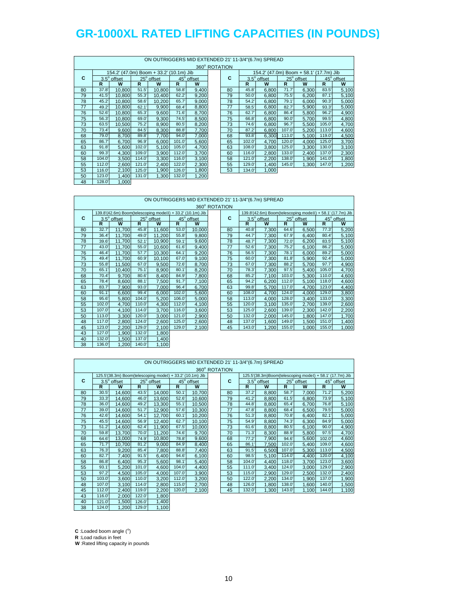|    |        |                    |       |                                         |        |            |               |       | ON OUTRIGGERS MID EXTENDED 21' 11-3/4"(6.7m) SPREAD |        |                                         |        |            |
|----|--------|--------------------|-------|-----------------------------------------|--------|------------|---------------|-------|-----------------------------------------------------|--------|-----------------------------------------|--------|------------|
|    |        |                    |       |                                         |        |            | 360° ROTATION |       |                                                     |        |                                         |        |            |
|    |        |                    |       | 154.2' (47.0m) Boom + 33.2' (10.1m) Jib |        |            |               |       |                                                     |        | 154.2' (47.0m) Boom + 58.1' (17.7m) Jib |        |            |
| C  |        | $3.5^\circ$ offset |       | 25° offset                              |        | 45° offset | C             |       | $3.5^\circ$ offset                                  |        | 25° offset                              |        | 45° offset |
|    | R      | W                  | R.    | W                                       | R      | W          |               | R     | W                                                   | R      | W                                       | R      | W          |
| 80 | 37.8'  | 10,800             | 51.5' | 10,800                                  | 58.8'  | 9,400      | 80            | 45.8' | 6,800                                               | 71.7'  | 6,300                                   | 83.5   | 5,100      |
| 79 | 41.5'  | 10.800             | 55.3' | 10.400                                  | 62.2'  | 9,200      | 79            | 50.0' | 6.800                                               | 75.5'  | 6.200                                   | 87.1'  | 5,100      |
| 78 | 45.2'  | 10.800             | 58.6' | 10,200                                  | 65.7   | 9,000      | 78            | 54.2' | 6.800                                               | 79.1'  | 6,000                                   | 90.3'  | 5,000      |
| 77 | 49.2   | 10,800             | 62.1' | 9.900                                   | 68.4   | 8,800      | 77            | 58.5' | 6,800                                               | 82.7'  | 5,900                                   | 93.3'  | 5,000      |
| 76 | 52.6'  | 10.800             | 65.3' | 9.600                                   | 71.6'  | 8,700      | 76            | 62.7  | 6.800                                               | 86.4   | 5,800                                   | 96.2'  | 4,900      |
| 75 | 56.3   | 10.800             | 69.0' | 9.300                                   | 74.5'  | 8,500      | 75            | 66.8' | 6,800                                               | 90.0'  | 5,700                                   | 99.5   | 4,800      |
| 73 | 63.5'  | 10.500             | 75.2' | 8.900                                   | 80.5'  | 8,200      | 73            | 74.6' | 6.800                                               | 96.7'  | 5,500                                   | 105.0  | 4,700      |
| 70 | 73.4   | 9,600              | 84.5' | 8.300                                   | 88.8'  | 7,700      | 70            | 87.2' | 6,800                                               | 107.0  | 5,200                                   | 113.0  | 4,600      |
| 68 | 79.0'  | 8.700              | 89.8' | 7.700                                   | 94.0'  | 7,000      | 68            | 93.8' | 6,300                                               | 113.0' | 5,100                                   | 119.0  | 4,500      |
| 65 | 86.7   | 6.700              | 96.9' | 6.000                                   | 101.0  | 5,600      | 65            | 102.0 | 4,700                                               | 120.0' | 4,000                                   | 125.0  | 3,700      |
| 63 | 91.8'  | 5,600              | 102.0 | 5,100                                   | 105.0  | 4,700      | 63            | 108.0 | 3,800                                               | 125.0  | 3,300                                   | 130.0' | 3,100      |
| 60 | 99.3'  | 4,300              | 109.0 | 3,900                                   | 112.0  | 3,700      | 60            | 116.0 | 2,800                                               | 133.0' | 2,400                                   | 137.0  | 2,300      |
| 58 | 104.0' | 3.500              | 114.0 | 3.300                                   | 116.0' | 3,100      | 58            | 121.0 | 2,200                                               | 138.0  | 1,900                                   | 141.0  | 1,800      |
| 55 | 112.0  | 2,600              | 121.0 | 2,400                                   | 122.0' | 2,300      | 55            | 129.0 | 1,400                                               | 145.0  | 1,300                                   | 147.0  | 1,200      |
| 53 | 116.0' | 2,100              | 125.0 | 1.900                                   | 126.0  | 1,800      | 53            | 134.0 | 1,000                                               |        |                                         |        |            |
| 50 | 123.0' | 1,400              | 131.0 | 1,300                                   | 132.0' | 1,200      |               |       |                                                     |        |                                         |        |            |
| 48 | 128.0' | 1,000              |       |                                         |        |            |               |       |                                                     |        |                                         |        |            |

#### ON OUTRIGGERS MID EXTENDED 21' 11-3/4"(6.7m) SPREAD

|    |        |                                                            |       | ON OUTRIGGERS MID EXTENDED 21' 11-3/4"(6.7m) SPREAD |       |            |               |        |             |       |                                                            |       |            |
|----|--------|------------------------------------------------------------|-------|-----------------------------------------------------|-------|------------|---------------|--------|-------------|-------|------------------------------------------------------------|-------|------------|
|    |        |                                                            |       |                                                     |       |            | 360° ROTATION |        |             |       |                                                            |       |            |
|    |        | 139.8'(42.6m) Boom(telescoping modeII) + 33.2' (10.1m) Jib |       |                                                     |       |            |               |        |             |       | 139.8'(42.6m) Boom(telescoping modeII) + 58.1' (17.7m) Jib |       |            |
| C  |        | $3.5^\circ$ offset                                         |       | 25° offset                                          |       | 45° offset | C             |        | 3.5° offset |       | 25° offset                                                 |       | 45° offset |
|    | R      | W                                                          | R     | W                                                   | R     | W          |               | R      | W           | R     | W                                                          | R     | W          |
| 80 | 32.7'  | 11,700                                                     | 45.8' | 11,600                                              | 53.0  | 10,000     | 80            | 40.8'  | 7,300       | 64.6  | 6,500                                                      | 77.3' | 5,200      |
| 79 | 36.4   | 11,700                                                     | 49.0  | 11,200                                              | 55.8' | 9,800      | 79            | 44.7   | 7,300       | 67.9' | 6.400                                                      | 80.4' | 5,100      |
| 78 | 39.6   | 11,700                                                     | 52.1' | 10,900                                              | 59.1' | 9,600      | 78            | 48.7   | 7,300       | 72.0' | 6,200                                                      | 83.5' | 5,100      |
| 77 | 43.0'  | 11,700                                                     | 55.0' | 10,600                                              | 61.6' | 9,400      | 77            | 52.6'  | 7.300       | 75.2' | 6.100                                                      | 86.2  | 5,000      |
| 76 | 46.4   | 11,700                                                     | 57.7' | 10,300                                              | 64.1' | 9,200      | 76            | 56.5'  | 7,300       | 78.1' | 6,000                                                      | 89.2  | 5,000      |
| 75 | 49.4   | 11.700                                                     | 60.9  | 10.100                                              | 67.0  | 9,100      | 75            | 60.0   | 7.300       | 81.8' | 5,900                                                      | 92.4' | 5,000      |
| 73 | 55.8   | 11,500                                                     | 67.0  | 9,500                                               | 72.6' | 8,700      | 73            | 67.0   | 7,300       | 88.2' | 5,700                                                      | 97.7  | 4,900      |
| 70 | 65.1'  | 10,400                                                     | 75.1' | 8,900                                               | 80.1' | 8,200      | 70            | 78.3'  | 7.300       | 97.5' | 5,400                                                      | 105.0 | 4,700      |
| 68 | 70.4'  | 9,700                                                      | 80.6' | 8,400                                               | 84.9  | 7,800      | 68            | 85.2'  | 7,100       | 103.0 | 5,300                                                      | 110.0 | 4,600      |
| 65 | 78.4   | 8,600                                                      | 88.1' | 7,500                                               | 91.7' | 7,100      | 65            | 94.2   | 6,200       | 112.0 | 5,100                                                      | 118.0 | 4,600      |
| 63 | 83.7   | 7,900                                                      | 93.0' | 7,000                                               | 96.4  | 6,700      | 63            | 99.8'  | 5,700       | 117.0 | 4,700                                                      | 123.0 | 4,400      |
| 60 | 91.1'  | 6.600                                                      | 99.4  | 6.000                                               | 102.0 | 5,600      | 60            | 108.0  | 4.700       | 124.0 | 4.000                                                      | 129.0 | 3,800      |
| 58 | 95.6'  | 5,800                                                      | 104.0 | 5,200                                               | 106.0 | 5,000      | 58            | 113.0  | 4,000       | 128.0 | 3,400                                                      | 133.0 | 3,300      |
| 55 | 102.0' | 4.700                                                      | 110.0 | 4.300                                               | 112.0 | 4,100      | 55            | 120.0' | 3,100       | 135.0 | 2.700                                                      | 139.0 | 2,600      |
| 53 | 107.0  | 4,100                                                      | 114.0 | 3,700                                               | 116.0 | 3,600      | 53            | 125.0  | 2,600       | 139.0 | 2,300                                                      | 142.0 | 2,200      |
| 50 | 113.0  | 3.300                                                      | 120.0 | 3.000                                               | 121.0 | 2,900      | 50            | 132.0  | 2.000       | 145.0 | 1.800                                                      | 147.0 | 1,700      |
| 48 | 117.0  | 2.800                                                      | 124.0 | 2.600                                               | 125.0 | 2,600      | 48            | 137.0  | 1.600       | 149.0 | 1.500                                                      | 151.0 | 1,400      |
| 45 | 123.0  | 2,200                                                      | 129.0 | 2,100                                               | 129.0 | 2,100      | 45            | 143.0  | 1,200       | 155.0 | 1,000                                                      | 155.0 | 1,000      |
| 43 | 127.0  | 1,900                                                      | 132.0 | 1,800                                               |       |            |               |        |             |       |                                                            |       |            |
| 40 | 132.0  | 1,500                                                      | 137.0 | 1,400                                               |       |            |               |        |             |       |                                                            |       |            |
| 38 | 136.0' | 1.200                                                      | 140.0 | 1,100                                               |       |            |               |        |             |       |                                                            |       |            |

|    |       |                    |        |                                                           |        |            |               |       | ON OUTRIGGERS MID EXTENDED 21' 11-3/4"(6.7m) SPREAD      |       |            |        |            |
|----|-------|--------------------|--------|-----------------------------------------------------------|--------|------------|---------------|-------|----------------------------------------------------------|-------|------------|--------|------------|
|    |       |                    |        |                                                           |        |            | 360° ROTATION |       |                                                          |       |            |        |            |
|    |       |                    |        | 125.5'(38.3m) Boom(telescoping modeI) + 33.2' (10.1m) Jib |        |            |               |       | 125.5'(38.3m)Boom(telescoping modeI) + 58.1' (17.7m) Jib |       |            |        |            |
| C  |       | $3.5^\circ$ offset |        | 25° offset                                                |        | 45° offset | C             |       | $3.5^\circ$ offset                                       |       | 25° offset |        | 45° offset |
|    | R.    | W                  | R      | W                                                         | R      | W          |               | R     | W                                                        | R     | W          | R      | W          |
| 80 | 30.5' | 14.600             | 43.5'  | 14.000                                                    | 50.1   | 10.700     | 80            | 37.2' | 8.800                                                    | 58.7  | 7.000      | 71.2'  | 5,200      |
| 79 | 33.3' | 14,600             | 46.0'  | 13,600                                                    | 52.6'  | 10,600     | 79            | 41.2' | 8,800                                                    | 61.5' | 6,800      | 73.9'  | 5,100      |
| 78 | 36.0' | 14,600             | 49.2'  | 13,300                                                    | 55.1'  | 10,500     | 78            | 44.8' | 8,800                                                    | 65.4  | 6,700      | 76.8   | 5,100      |
| 77 | 39.0' | 14.600             | 51.7'  | 12,900                                                    | 57.6'  | 10,300     | 77            | 47.8' | 8,800                                                    | 68.4  | 6,500      | 79.5'  | 5,000      |
| 76 | 42.6' | 14.600             | 54.1'  | 12.700                                                    | 60.1'  | 10,200     | 76            | 51.3' | 8,800                                                    | 70.8' | 6,400      | 82.1'  | 5,000      |
| 75 | 45.5' | 14.600             | 56.9   | 12.400                                                    | 62.7   | 10.100     | 75            | 54.9' | 8.800                                                    | 74.3' | 6.300      | 84.9   | 5,000      |
| 73 | 51.2' | 14,600             | 62.4   | 11,900                                                    | 67.5'  | 10,000     | 73            | 61.6  | 8,800                                                    | 80.5' | 6,100      | 90.0'  | 4,900      |
| 70 | 59.8  | 13.700             | 70.0'  | 11.200                                                    | 74.6'  | 9,700      | 70            | 71.3' | 8.300                                                    | 88.9  | 5.800      | 97.5'  | 4,700      |
| 68 | 64.6' | 13.000             | 74.9'  | 10.800                                                    | 78.8'  | 9,600      | 68            | 77.2' | 7,900                                                    | 94.6' | 5,600      | 102.0  | 4,600      |
| 65 | 71.7' | 10,700             | 81.2'  | 9,000                                                     | 84.9'  | 8,400      | 65            | 86.1' | 7,500                                                    | 102.0 | 5,400      | 109.0  | 4,600      |
| 63 | 76.3' | 9,200              | 85.4   | 7,800                                                     | 88.8   | 7,400      | 63            | 91.5' | 6,500                                                    | 107.0 | 5,300      | 113.0  | 4,500      |
| 60 | 82.7' | 7,400              | 91.5'  | 6,400                                                     | 94.6   | 6,100      | 60            | 98.5' | 5,100                                                    | 114.0 | 4.400      | 120.0' | 4,100      |
| 58 | 86.8  | 6,400              | 95.3'  | 5,600                                                     | 98.1'  | 5,400      | 58            | 104.0 | 4,400                                                    | 118.0 | 3,700      | 123.0  | 3,600      |
| 55 | 93.1' | 5.200              | 101.0  | 4,600                                                     | 104.0  | 4,400      | 55            | 111.0 | 3,400                                                    | 124.0 | 3.000      | 129.0  | 2,900      |
| 53 | 97.2' | 4,500              | 105.0  | 4,000                                                     | 107.0  | 3,900      | 53            | 115.0 | 2,900                                                    | 129.0 | 2,500      | 132.0  | 2,400      |
| 50 | 103.0 | 3.600              | 110.0  | 3.200                                                     | 112.0  | 3,200      | 50            | 122.0 | 2,200                                                    | 134.0 | 1.900      | 137.0  | 1,900      |
| 48 | 107.0 | 3,100              | 114.0  | 2.800                                                     | 115.0  | 2,700      | 48            | 126.0 | 1,800                                                    | 138.0 | 1,600      | 140.0  | 1,500      |
| 45 | 112.0 | 2,400              | 119.0  | 2,200                                                     | 120.0' | 2,100      | 45            | 132.0 | 1,300                                                    | 143.0 | 1,100      | 144.0  | 1,100      |
| 43 | 116.0 | 2.000              | 122.0' | 1.800                                                     |        |            |               |       |                                                          |       |            |        |            |

 $C$  : Loaded boom angle  $(°)$ 

**R** :Load radius in feet

**W** :Rated lifting capacity in pounds

40 121.0' 1,500 126.0' 1,400<br>38 124.0' 1,200 129.0' 1,100  $1,200$  129.0'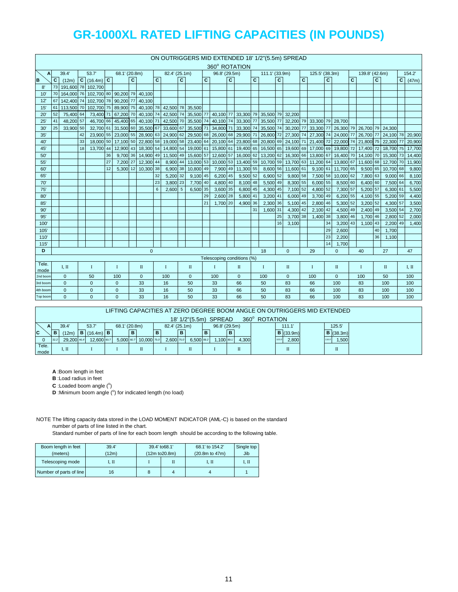|               |    |              |    |                                                            |    |                     |    |              |              |               |              |              |              |                                                                       |    |                    |              | ON OUTRIGGERS MID EXTENDED 18' 1/2"(5.5m) SPREAD                             |    |                     |              |                               |              |              |              |                                                   |              |                  |                 |
|---------------|----|--------------|----|------------------------------------------------------------|----|---------------------|----|--------------|--------------|---------------|--------------|--------------|--------------|-----------------------------------------------------------------------|----|--------------------|--------------|------------------------------------------------------------------------------|----|---------------------|--------------|-------------------------------|--------------|--------------|--------------|---------------------------------------------------|--------------|------------------|-----------------|
|               |    |              |    |                                                            |    |                     |    |              |              |               |              |              |              | 360° ROTATION                                                         |    |                    |              |                                                                              |    |                     |              |                               |              |              |              |                                                   |              |                  |                 |
| A             |    | 39.4         |    | 53.7                                                       |    | 68.1' (20.8m)       |    |              |              | 82.4' (25.1m) |              |              |              | 96.8' (29.5m)                                                         |    |                    |              | 111.1' (33.9m)                                                               |    |                     |              | 125.5' (38.3m)                |              |              |              | 139.8' (42.6m)                                    |              |                  | 154.2           |
| B             | C  | (12m)        |    | $C$ (16.4m) $C$                                            |    |                     | C. |              | $\mathbf{C}$ |               | $\mathbf{c}$ |              | $\mathbf{C}$ |                                                                       | C. |                    | $\mathbf{C}$ |                                                                              | C  |                     | $\mathbf{C}$ |                               | $\mathbf{C}$ |              | $\mathbf{C}$ |                                                   | $\mathbf{C}$ |                  | $C \quad (47m)$ |
| 8'            | 73 |              |    | 191.600 78 102.700                                         |    |                     |    |              |              |               |              |              |              |                                                                       |    |                    |              |                                                                              |    |                     |              |                               |              |              |              |                                                   |              |                  |                 |
| 10'           | 70 |              |    | 164.000 76 102.700 80 90.200 79 40.100                     |    |                     |    |              |              |               |              |              |              |                                                                       |    |                    |              |                                                                              |    |                     |              |                               |              |              |              |                                                   |              |                  |                 |
| 12'           | 67 |              |    | 142.400 74 102.700 78 90.200 77                            |    |                     |    | 40.100       |              |               |              |              |              |                                                                       |    |                    |              |                                                                              |    |                     |              |                               |              |              |              |                                                   |              |                  |                 |
| 15            | 61 |              |    | 113,500 70 102,700 75 89,900 75 40,100 78 42,500 78 35,500 |    |                     |    |              |              |               |              |              |              |                                                                       |    |                    |              |                                                                              |    |                     |              |                               |              |              |              |                                                   |              |                  |                 |
| 20'           | 52 | 75,400 64    |    | 73,400 71                                                  |    |                     |    |              |              |               |              |              |              |                                                                       |    |                    |              | 67,200 70 40,100 74 42,500 74 35,500 77 40,100 77 33,300 79 35,500 79 32,200 |    |                     |              |                               |              |              |              |                                                   |              |                  |                 |
| 25            | 41 | 48.200 57    |    |                                                            |    | 46,700 66 45,400 65 |    | 40.100 71    |              |               |              |              |              | 42,500 70 35,500 74 40,100 74 33,300 77                               |    |                    |              |                                                                              |    |                     |              | 35,500 77 32,200 79 33,300 79 |              | 28,700       |              |                                                   |              |                  |                 |
| 30'           | 25 | 33,900 50    |    |                                                            |    | 32.700 61 31.500 60 |    | 35,500 67    |              |               |              |              |              | 33,600 67 35,500 71 34,800 71 33,300 74                               |    |                    |              |                                                                              |    | 35,500 74 30,200 77 |              | 33,300 77                     |              |              |              | 26,300 79 26,700 79 24,300                        |              |                  |                 |
| 35'           |    |              | 42 |                                                            |    |                     |    |              |              |               |              |              |              | 23,900 55 23,000 55 28,900 63 24,900 62 29,500 68 26,000 68 29,900 71 |    |                    |              |                                                                              |    | 26,800 72 27,300 74 |              |                               |              |              |              | 27,300 74 24,000 77 26,700 77                     |              | 24,100 78 20,900 |                 |
| 40'           |    |              | 33 |                                                            |    |                     |    |              |              |               |              |              |              | 18,000 50 17,100 50 22,800 58 19,000 58 23,400 64 20,100 64 23,800 68 |    |                    |              | 20,800 69 24,100 71                                                          |    |                     |              | 21,400 72                     |              |              |              | 22,000 74 21,800 75                               |              | 22,300 77        | 20,900          |
| 45'           |    |              | 18 | 13,700 44                                                  |    | 12,900 43           |    |              |              |               |              |              |              | 18,300 54 14,800 54 19,000 61 15,800 61 19,400 65                     |    |                    |              |                                                                              |    |                     |              |                               |              |              |              | 16,500 65 19,600 69 17,000 69 19,800 72 17,400 72 |              | 18.700 75 17.700 |                 |
| 50            |    |              |    |                                                            | 36 | 9,700 36            |    | 14,900 49    |              | 11,500 49     |              | 15,600 57    |              | 12,600 57 16,000 62                                                   |    |                    |              |                                                                              |    | 13,200 62 16,300 66 |              | 13,800 67                     |              |              |              | 16,400 70 14,100 70                               |              | 15,300 73        | 14,400          |
| 55'           |    |              |    |                                                            | 27 | 7,200 27            |    | 12,300 44    |              | 8,900 44      |              | 13,000 53    |              | 10,000 53 13,400 59                                                   |    |                    |              |                                                                              |    | 10,700 59 13,700 63 |              | 11,200 64                     |              | 13,800 67    |              | 11,600 68                                         |              | 12,700 70        | 11,900          |
| 60'           |    |              |    |                                                            | 12 | 5,300 12            |    | 10,300 38    |              | 6,900 38      |              | 10,800 49    |              |                                                                       |    | 7,900 49 11,300 55 |              |                                                                              |    | 8,600 56 11,600 61  |              | $9,100$ 61                    |              | 11,700 65    |              | 9,500 65                                          |              | 10,700 68        | 9,800           |
| 65'           |    |              |    |                                                            |    |                     |    |              | 32           | 5,200 32      |              | 9,100 45     |              | 6,200 45                                                              |    | 9,500 52           |              | 6,900 52                                                                     |    | 9,800 58            |              | 7,500 58                      |              | 10,000 62    |              | 7,800 63                                          |              | 9,00066          | 8,100           |
| 70'           |    |              |    |                                                            |    |                     |    |              | 23           | 3,800 23      |              | 7,700 40     |              | 4,800 40                                                              |    | 8,100 48           |              | 5,500 49                                                                     |    | 8,300 55            |              | 6,000 55                      |              | 8,500 60     |              | 6,400 60                                          |              | 7,500 64         | 6,700           |
| 75'           |    |              |    |                                                            |    |                     |    |              | 6            | 2,600         | 5            | 6,500 35     |              | 3,600 35                                                              |    | 6,800 45           |              | 4,300 45                                                                     |    | 7,100 52            |              | 4,800 52                      |              | 7,300 57     |              | 5,200 57                                          |              | 6,300 61         | 5,500           |
| 80'           |    |              |    |                                                            |    |                     |    |              |              |               |              |              | 29           | 2,600 28                                                              |    | 5,800 41           |              | 3,200 41                                                                     |    | 6,000 49            |              | 3,700 49                      |              | 6,200 55     |              | 4,100 55                                          |              | 5,200 59         | 4,400           |
| 85'           |    |              |    |                                                            |    |                     |    |              |              |               |              |              | 21           | 1,700 20                                                              |    | 4,900 36           |              | 2,300 36                                                                     |    | 5,100 45            |              | 2,800 46                      |              | 5,300 52     |              | 3,200 52                                          |              | 4,300 57         | 3,500           |
| 90'           |    |              |    |                                                            |    |                     |    |              |              |               |              |              |              |                                                                       |    |                    | 31           | 1,600 31                                                                     |    | 4,300 42            |              | 2,100 42                      |              | 4,500 49     |              | 2,400 49                                          |              | 3,500 54         | 2,700           |
| 95'           |    |              |    |                                                            |    |                     |    |              |              |               |              |              |              |                                                                       |    |                    |              |                                                                              | 25 | 3.700 38            |              | 1,400 38                      |              | 3.800 46     |              | 1,700 46                                          |              | 2.800 52         | 2,000           |
| 100           |    |              |    |                                                            |    |                     |    |              |              |               |              |              |              |                                                                       |    |                    |              |                                                                              | 16 | 3,100               |              |                               | 34           | $3,200$ 43   |              | 1,100 43                                          |              | $2.200$ 49       | 1,400           |
| 105'          |    |              |    |                                                            |    |                     |    |              |              |               |              |              |              |                                                                       |    |                    |              |                                                                              |    |                     |              |                               | 29           | 2.600        |              |                                                   | 40           | 1.700            |                 |
| 110'          |    |              |    |                                                            |    |                     |    |              |              |               |              |              |              |                                                                       |    |                    |              |                                                                              |    |                     |              |                               | 23           | 2,200        |              |                                                   | 36           | 1,100            |                 |
| 115           |    |              |    |                                                            |    |                     |    |              |              |               |              |              |              |                                                                       |    |                    |              |                                                                              |    |                     |              |                               | 14           | 1,700        |              |                                                   |              |                  |                 |
| D             |    |              |    |                                                            |    |                     |    | $\mathbf 0$  |              |               |              |              |              |                                                                       |    |                    |              | 18                                                                           |    | $\mathbf{0}$        |              | 29                            |              | $\mathbf{0}$ |              | 40                                                |              | 27               | 47              |
|               |    |              |    |                                                            |    |                     |    |              |              |               |              |              |              | Telescoping conditions (%)                                            |    |                    |              |                                                                              |    |                     |              |                               |              |              |              |                                                   |              |                  |                 |
| Tele.<br>mode |    | I. II        |    | L                                                          |    | $\mathbf{I}$        |    | $\mathbf{I}$ |              | $\bf{I}$      |              | $\mathbf{I}$ |              | $\mathbf{I}$                                                          |    | П                  |              | $\bf{I}$                                                                     |    | П                   |              | $\bf{I}$                      |              | П            |              | $\mathbf{I}$                                      |              | $\mathbf{I}$     | I, II           |
| 2nd boon      |    | $\mathbf{0}$ |    | 50                                                         |    | 100                 |    | $\mathbf{0}$ |              | 100           |              | $\mathbf{0}$ |              | 100                                                                   |    | $\mathbf{0}$       |              | 100                                                                          |    | $\mathbf{0}$        |              | 100                           |              | $\mathbf{0}$ |              | 100                                               |              | 50               | 100             |
| 3rd boom      |    | $\Omega$     |    | $\mathbf{0}$                                               |    | $\Omega$            |    | 33           |              | 16            |              | 50           |              | 33                                                                    |    | 66                 |              | 50                                                                           |    | 83                  |              | 66                            |              | 100          |              | 83                                                |              | 100              | 100             |
| 4th boom      |    | $\Omega$     |    | $\mathbf{0}$                                               |    | $\mathbf{0}$        |    | 33           |              | 16            |              | 50           |              | 33                                                                    |    | 66                 |              | 50                                                                           |    | 83                  |              | 66                            |              | 100          |              | 83                                                |              | 100              | 100             |
| Top boom      |    | $\Omega$     |    | $\Omega$                                                   |    | $\Omega$            |    | 33           |              | 16            |              | 50           |              | 33                                                                    |    | 66                 |              | 50                                                                           |    | 83                  |              | 66                            |              | 100          |              | 83                                                |              | 100              | 100             |

**A** :Boom length in feet

**B** :Load radius in feet

 $C$  : Loaded boom angle  $(°)$ 

**D** :Minimum boom angle (°) for indicated length (no load)

#### NOTE The lifting capacity data stored in the LOAD MOMENT INDICATOR (AML-C) is based on the standard number of parts of line listed in the chart.

| Boom length in feet     | 39.4' | 39.4' to 68.1' |                | 68.1' to 154.2'   | Single top |
|-------------------------|-------|----------------|----------------|-------------------|------------|
| (meters)                | (12m) |                | (12m to 20.8m) | $(20.8m)$ to 47m) | Jib        |
| Telescoping mode        | I. II |                |                | I. II             | I. II      |
| Number of parts of line | 16    |                |                |                   |            |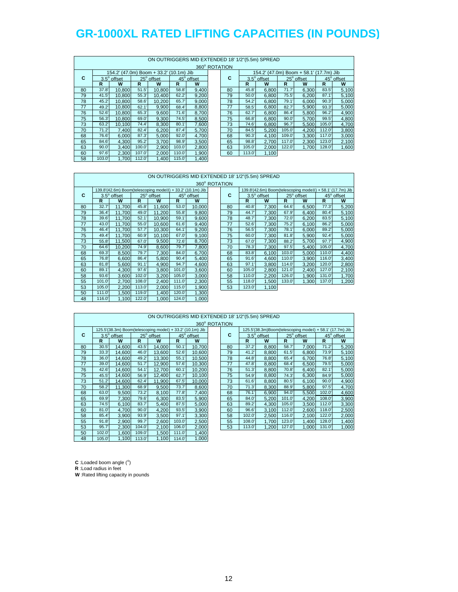|    | ON OUTRIGGERS MID EXTENDED 18' 1/2"(5.5m) SPREAD |                    |        |                                         |        |            |  |               |        |                                         |        |            |        |            |
|----|--------------------------------------------------|--------------------|--------|-----------------------------------------|--------|------------|--|---------------|--------|-----------------------------------------|--------|------------|--------|------------|
|    |                                                  |                    |        |                                         |        |            |  | 360° ROTATION |        |                                         |        |            |        |            |
|    |                                                  |                    |        | 154.2' (47.0m) Boom + 33.2' (10.1m) Jib |        |            |  |               |        | 154.2' (47.0m) Boom + 58.1' (17.7m) Jib |        |            |        |            |
| C  |                                                  | $3.5^\circ$ offset |        | 25° offset                              |        | 45° offset |  | С             |        | $3.5^\circ$ offset                      |        | 25° offset |        | 45° offset |
|    | R                                                | W                  | R      | W                                       | R      | W          |  |               | R      | W                                       | R      | W          | R      | W          |
| 80 | 37.8'                                            | 10.800             | 51.5'  | 10.800                                  | 58.8'  | 9,400      |  | 80            | 45.8   | 6.800                                   | 71.7'  | 6.300      | 83.5   | 5,100      |
| 79 | 41.5'                                            | 10.800             | 55.3'  | 10.400                                  | 62.2   | 9,200      |  | 79            | 50.0'  | 6.800                                   | 75.5'  | 6.200      | 87.1'  | 5,100      |
| 78 | 45.2'                                            | 10.800             | 58.6'  | 10.200                                  | 65.7   | 9.000      |  | 78            | 54.2'  | 6.800                                   | 79.1   | 6.000      | 90.3'  | 5,000      |
| 77 | 49.2                                             | 10.800             | 62.1   | 9.900                                   | 68.4   | 8,800      |  | 77            | 58.5   | 6.800                                   | 82.7   | 5.900      | 93.3'  | 5,000      |
| 76 | 52.6'                                            | 10.800             | 65.3'  | 9,600                                   | 71.6'  | 8,700      |  | 76            | 62.7   | 6,800                                   | 86.4   | 5,800      | 96.2'  | 4,900      |
| 75 | 56.3                                             | 10.800             | 69.0'  | 9,300                                   | 74.5'  | 8,500      |  | 75            | 66.8   | 6.800                                   | 90.0'  | 5.700      | 99.5'  | 4,800      |
| 73 | 63.2                                             | 10.100             | 74.4'  | 8,300                                   | 80.1'  | 7,600      |  | 73            | 74.6'  | 6,800                                   | 96.7'  | 5,500      | 105.0  | 4,700      |
| 70 | 71.2'                                            | 7.400              | 82.4   | 6,200                                   | 87.4   | 5,700      |  | 70            | 84.5   | 5,200                                   | 105.0  | 4.200      | 112.0  | 3,800      |
| 68 | 76.6'                                            | 6.000              | 87.3'  | 5.000                                   | 92.0'  | 4,700      |  | 68            | 90.3'  | 4.100                                   | 109.0  | 3,300      | 117.0  | 3,000      |
| 65 | 84.6'                                            | 4.300              | 95.2'  | 3,700                                   | 98.9   | 3,500      |  | 65            | 98.8'  | 2.700                                   | 117.0  | 2,300      | 123.0' | 2,100      |
| 63 | 90.0'                                            | 3.400              | 100.0' | 2.900                                   | 103.0' | 2,800      |  | 63            | 105.0  | 2.000                                   | 122.0' | 1,700      | 128.0  | 1,600      |
| 60 | 97.6                                             | 2.300              | 107.0  | 2.000                                   | 110.0' | 1,900      |  | 60            | 113.0' | 1,100                                   |        |            |        |            |
| 58 | 103.0'                                           | 1.700              | 112.0  | 1.400                                   | 115.0  | 1.400      |  |               |        |                                         |        |            |        |            |

#### ON OUTRIGGERS MID EXTENDED 18' 1/2"(5.5m) SPREAD 360° ROTATION 139.8'(42.6m) Boom(telescoping mode II) + 33.2' (10.1m) Jib 139.8'(42.6m) Boom(telescoping mode II) + 58.1' (17.7m) Jib 139.8' (18.6m) Boom(telescoping mode II) + 58.1' (17.7m) Jib 159.6ff 159.6ff 159.6ff 159.6ff 159.6ff  $C = 3.5^\circ$  offset  $25^\circ$ offset 45<sup>°</sup> offset **C** 3.5<sup>°</sup> offset 25<sup>°</sup> offset 45<sup>°</sup>  $\frac{45^{\circ} \text{ offset}}{R}$  W **RWRWRW RWRWRW** 32.7' 11,700 45.8' 11,600 53.0' 10,000 80 40.8' 7,300 64.6' 6,500 77.3' 5,200 36.4' 11,700 49.0' 11,200 55.8' 9,800 79 44.7' 7,300 67.9' 6,400 80.4' 5,100 39.6' 11,700 52.1' 10,900 59.1' 9,600 78 48.7' 7,300 72.0' 6,200 83.5' 5,100 43.0' 11,700 55.0' 10,600 61.6' 9,400 77 52.6' 7,300 75.2' 6,100 86.2' 5,000 46.4' 11,700 57.7' 10,300 64.1' 9,200 76 56.5' 7,300 78.1' 6,000 89.2' 5,000 49.4' 11,700 60.9' 10,100 67.0' 9,100 75 60.0' 7,300 81.8' 5,900 92.4' 5,000 55.8' 11,500 67.0' 9,500 72.6' 8,700 73 67.0' 7,300 88.2' 5,700 97.7' 4,900 64.6' 10,200 74.9' 8,600 79.7' 7,800 70 78.3' 7,300 97.5' 5,400 105.0' 4,700 69.3' 8,500 79.7' 7,300 84.0' 6,700 68 83.8' 6,100 103.0' 5,000 110.0' 4,400 76.8' 6,600 86.4' 5,800 90.4' 5,400 65 91.6' 4,600 110.0' 3,900 116.0' 3,400 81.8' 5,600 91.1' 4,900 94.7' 4,600 63 97.1' 3,800 114.0' 3,200 120.0' 2,800 89.1' 4,300 97.6' 3,800 101.0' 3,600 60 105.0' 2,800 121.0' 2,400 127.0' 2,100 93.6' 3,600 102.0' 3,200 105.0' 3,000 58 110.0' 2,200 126.0' 1,900 131.0' 1,700 101.0' 2,700 108.0' 2,400 111.0' 2,300 55 118.0' 1,500 133.0' 1,300 137.0' 1,200 105.0' 2,200 113.0' 2,000 115.0' 1,900 53 123.0' 1,100

|    |        |                                                           |              |            |        |            |               |       | ON OUTRIGGERS MID EXTENDED 18' 1/2"(5.5m) SPREAD         |       |            |              |            |
|----|--------|-----------------------------------------------------------|--------------|------------|--------|------------|---------------|-------|----------------------------------------------------------|-------|------------|--------------|------------|
|    |        |                                                           |              |            |        |            | 360° ROTATION |       |                                                          |       |            |              |            |
|    |        | 125.5'(38.3m) Boom(telescoping modeI) + 33.2' (10.1m) Jib |              |            |        |            |               |       | 125.5'(38.3m)Boom(telescoping modeI) + 58.1' (17.7m) Jib |       |            |              |            |
| C  |        | $3.5^\circ$ offset                                        |              | 25° offset |        | 45° offset | C             |       | $3.5^\circ$ offset                                       |       | 25° offset |              | 45° offset |
|    | R      | W                                                         | $\mathsf{R}$ | W          | R      | W          |               | R     | W                                                        | R     | W          | $\mathbb{R}$ | W          |
| 80 | 30.5'  | 14,600                                                    | 43.5'        | 14,000     | 50.1   | 10,700     | 80            | 37.2' | 8.800                                                    | 58.7  | 7.000      | 71.2'        | 5,200      |
| 79 | 33.3'  | 14.600                                                    | 46.0         | 13.600     | 52.6'  | 10.600     | 79            | 41.2' | 8.800                                                    | 61.5' | 6.800      | 73.9'        | 5,100      |
| 78 | 36.0'  | 14,600                                                    | 49.2         | 13,300     | 55.1'  | 10,500     | 78            | 44.8  | 8,800                                                    | 65.4  | 6,700      | 76.8         | 5,100      |
| 77 | 39.0'  | 14.600                                                    | 51.7'        | 12,900     | 57.6   | 10,300     | 77            | 47.8' | 8,800                                                    | 68.4  | 6,500      | 79.5'        | 5,000      |
| 76 | 42.6'  | 14.600                                                    | 54.1         | 12,700     | 60.1   | 10,200     | 76            | 51.3' | 8.800                                                    | 70.8' | 6.400      | 82.1'        | 5,000      |
| 75 | 45.5'  | 14.600                                                    | 56.9         | 12,400     | 62.7   | 10,100     | 75            | 54.9' | 8.800                                                    | 74.3' | 6.300      | 84.9'        | 5,000      |
| 73 | 51.2'  | 14,600                                                    | 62.4         | 11,900     | 67.5'  | 10,000     | 73            | 61.6' | 8,800                                                    | 80.5' | 6,100      | 90.0'        | 4,900      |
| 70 | 58.2   | 11.300                                                    | 68.9'        | 9.500      | 73.7'  | 8.600      | 70            | 71.3' | 8.300                                                    | 88.9  | 5.800      | 97.5'        | 4,700      |
| 68 | 63.0   | 9,500                                                     | 73.2'        | 8,100      | 77.8'  | 7,400      | 68            | 76.1' | 6,900                                                    | 94.0' | 5,500      | 102.0        | 4,600      |
| 65 | 69.9'  | 7.300                                                     | 79.6'        | 6.300      | 83.5'  | 5,900      | 65            | 84.0' | 5,200                                                    | 101.0 | 4.200      | 108.0'       | 3,900      |
| 63 | 74.5'  | 6.100                                                     | 83.7         | 5.400      | 87.5'  | 5,000      | 63            | 89.2  | 4.300                                                    | 105.0 | 3.500      | 112.0        | 3,300      |
| 60 | 81.0'  | 4.700                                                     | 90.0'        | 4.200      | 93.5'  | 3,900      | 60            | 96.6' | 3.100                                                    | 112.0 | 2.600      | 118.0        | 2,500      |
| 58 | 85.4   | 3,900                                                     | 93.9'        | 3,500      | 97.1'  | 3,300      | 58            | 102.0 | 2,500                                                    | 116.0 | 2,100      | 122.0'       | 2,000      |
| 55 | 91.8'  | 2,900                                                     | 99.7         | 2,600      | 103.0  | 2,500      | 55            | 108.0 | 1.700                                                    | 123.0 | 1.400      | 128.0        | 1,400      |
| 53 | 95.7'  | 2,300                                                     | 104.0        | 2,100      | 106.0  | 2,000      | 53            | 113.0 | 1,200                                                    | 127.0 | 1,000      | 131.0        | 1,000      |
| 50 | 102.0' | 1.600                                                     | 109.0        | 1,500      | 111.0' | 1,400      |               |       |                                                          |       |            |              |            |
| 48 | 105.0  | 1,100                                                     | 113.0'       | 1,100      | 114.0  | 1,000      |               |       |                                                          |       |            |              |            |

 $C$  : Loaded boom angle  $(°)$ **R** :Load radius in feet

**W** :Rated lifting capacity in pounds

 111.0' 1,500 119.0' 1,400 120.0' 1,300 116.0' 1,100 122.0' 1,000 124.0' 1,000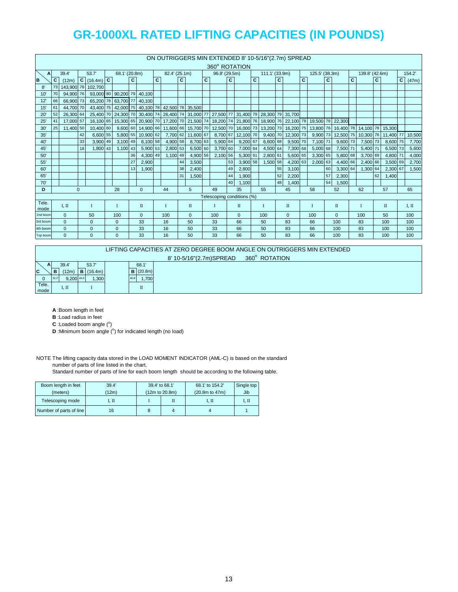|               | ON OUTRIGGERS MIN EXTENDED 8' 10-5/16"(2.7m) SPREAD |           |              |                       |  |                                                |              |                    |              |               |              |              |              |               |    |                            |   |                |    |                                                                                                            |              |                |    |                                      |    |                |    |                     |              |        |
|---------------|-----------------------------------------------------|-----------|--------------|-----------------------|--|------------------------------------------------|--------------|--------------------|--------------|---------------|--------------|--------------|--------------|---------------|----|----------------------------|---|----------------|----|------------------------------------------------------------------------------------------------------------|--------------|----------------|----|--------------------------------------|----|----------------|----|---------------------|--------------|--------|
|               |                                                     |           |              |                       |  |                                                |              |                    |              |               |              |              |              |               |    | 360° ROTATION              |   |                |    |                                                                                                            |              |                |    |                                      |    |                |    |                     |              |        |
| A             |                                                     | 39.4'     |              | 53.7                  |  | 68.1' (20.8m)                                  |              |                    |              | 82.4' (25.1m) |              |              |              | 96.8' (29.5m) |    |                            |   | 111.1' (33.9m) |    |                                                                                                            |              | 125.5' (38.3m) |    |                                      |    | 139.8' (42.6m) |    |                     |              | 154.2  |
| B             | C.                                                  | (12m)     |              | $C$ (16.4m) $C$       |  |                                                | $\mathbf{C}$ |                    | $\mathbf{C}$ |               | $\mathbf{c}$ |              | $\mathbf{C}$ |               | C  |                            | c |                | C  |                                                                                                            | $\mathbf{C}$ |                | C  |                                      | C. |                | C. |                     | $\mathbf{C}$ | (47m)  |
| 8'            |                                                     |           |              | 73 143,900 78 102,700 |  |                                                |              |                    |              |               |              |              |              |               |    |                            |   |                |    |                                                                                                            |              |                |    |                                      |    |                |    |                     |              |        |
| 10            | 70                                                  | 94.900 76 |              |                       |  | 93,000 80 90,200 79 40,100                     |              |                    |              |               |              |              |              |               |    |                            |   |                |    |                                                                                                            |              |                |    |                                      |    |                |    |                     |              |        |
| 12'           | 66                                                  | 66,900 73 |              |                       |  | 65,200 78 63,700 77                            |              | 40.100             |              |               |              |              |              |               |    |                            |   |                |    |                                                                                                            |              |                |    |                                      |    |                |    |                     |              |        |
| 15            | 61                                                  | 44,700 70 |              |                       |  | 43,400 75 42,000 75 40,100 78 42,500 78 35,500 |              |                    |              |               |              |              |              |               |    |                            |   |                |    |                                                                                                            |              |                |    |                                      |    |                |    |                     |              |        |
| $20^{\circ}$  | 52                                                  | 26,300 64 |              | 25,400 70             |  | 24,300 70 30,400 74                            |              |                    |              |               |              |              |              |               |    |                            |   |                |    | 26,400 74 31,000 77 27,500 77 31,400 79 28,300 79 31,700                                                   |              |                |    |                                      |    |                |    |                     |              |        |
| 25            | 41                                                  | 17,000 57 |              |                       |  |                                                |              |                    |              |               |              |              |              |               |    |                            |   |                |    | 16,100 65 15,300 65 20,900 70 17,200 70 21,500 74 18,200 74 21,800 76 18,000 76 22,100 78 19,500 78 22,300 |              |                |    |                                      |    |                |    |                     |              |        |
| 30'           | 25                                                  | 11.400 50 |              | 10,400 60             |  |                                                |              | 9,600 60 14,900 66 |              |               |              |              |              |               |    |                            |   |                |    | 11,600 66 15,700 70 12,500 70 16,000 73 13,200 73 16,200 75                                                |              |                |    | 13,800 76 16,400 78 14,100 78 15,300 |    |                |    |                     |              |        |
| 35'           |                                                     |           | 42           | 6,600 55              |  | 5,800 55                                       |              | 10.900 62          |              | 7,700 62      |              | 11.600 67    |              | 8.700 67      |    | 12,100 70                  |   | 9,400 70       |    | 12,300 73                                                                                                  |              | 9,900 73       |    | 12,500 75                            |    |                |    | 10,300 76 11,400 77 |              | 10,500 |
| 40'           |                                                     |           | 33           | 3,900 49              |  | 3,100 49                                       |              | 8,100 58           |              | 4,900 58      |              | 8,700 63     |              | 5,900 64      |    | 9,200 67                   |   | 6,600 68       |    | 9,500 70                                                                                                   |              | 7,100 71       |    | 9,600 73                             |    | 7,500 73       |    | 8,600 75            |              | 7,700  |
| 45'           |                                                     |           | 18           | 1,800 43              |  | 1,100 43                                       |              | 5,900 53           |              | 2,800 53      |              | 6,500 60     |              | 3,700 60      |    | 7,000 64                   |   | 4,500 64       |    | 7,300 68                                                                                                   |              | 5,000 68       |    | 7,500 71                             |    | 5,400 71       |    | 6,500 73            |              | 5,600  |
| 50'           |                                                     |           |              |                       |  |                                                | 36           | 4,300 49           |              | 1,100 49      |              | 4,900 56     |              | 2.100 56      |    | 5,300 61                   |   | 2,800 61       |    | 5.600 65                                                                                                   |              | 3,300 65       |    | 5,800 68                             |    | 3,700 69       |    | 4,800 71            |              | 4,000  |
| 55'           |                                                     |           |              |                       |  |                                                | 27           | 2,900              |              |               | 44           | 3,500        |              |               | 53 | 3,900 58                   |   | 1,500 58       |    | 4,200 63                                                                                                   |              | 2,000 63       |    | 4,400 66                             |    | 2,400 66       |    | 3,500 69            |              | 2,700  |
| 60'           |                                                     |           |              |                       |  |                                                | 13           | 1.900              |              |               | 38           | 2,400        |              |               | 49 | 2,800                      |   |                | 55 | 3,100                                                                                                      |              |                | 60 | 3,300 64                             |    | 1,300 64       |    | 2,300 67            |              | 1,500  |
| 65'           |                                                     |           |              |                       |  |                                                |              |                    |              |               | 31           | 1,500        |              |               | 44 | 1,900                      |   |                | 52 | 2,200                                                                                                      |              |                | 57 | 2,300                                |    |                | 62 | 1,400               |              |        |
| 70            |                                                     |           |              |                       |  |                                                |              |                    |              |               |              |              |              |               | 40 | 1,100                      |   |                | 48 | 1,400                                                                                                      |              |                | 54 | 1,500                                |    |                |    |                     |              |        |
| D             |                                                     |           | $\mathbf{0}$ |                       |  | 28                                             |              | $\mathbf{0}$       |              | 44            |              | 5            |              | 49            |    | 35                         |   | 55             |    | 45                                                                                                         |              | 58             |    | 52                                   |    | 62             |    | 57                  |              | 65     |
|               |                                                     |           |              |                       |  |                                                |              |                    |              |               |              |              |              |               |    | Telescoping conditions (%) |   |                |    |                                                                                                            |              |                |    |                                      |    |                |    |                     |              |        |
| Tele.<br>mode |                                                     | I. II     |              | T                     |  | $\mathbf{I}$                                   |              | $\mathbf{I}$       |              | $\bf{I}$      |              | $\mathbf{I}$ |              | T             |    | $\mathbf{I}$               |   | Т              |    | $\mathbf{I}$                                                                                               |              | I              |    | $\mathbf{I}$                         |    |                |    | $\mathbf{I}$        |              | I, II  |
| 2nd boom      |                                                     | $\Omega$  |              | 50                    |  | 100                                            |              | $\mathbf{0}$       |              | 100           |              | $\mathbf{0}$ |              | 100           |    | $\Omega$                   |   | 100            |    | $\Omega$                                                                                                   |              | 100            |    | $\mathbf{0}$                         |    | 100            |    | 50                  |              | 100    |
| 3rd boom      |                                                     | $\Omega$  |              | $\Omega$              |  | $\Omega$                                       |              | 33                 |              | 16            |              | 50           |              | 33            |    | 66                         |   | 50             |    | 83                                                                                                         |              | 66             |    | 100                                  |    | 83             |    | 100                 |              | 100    |
| 4th boom      |                                                     | $\Omega$  |              | $\mathbf{0}$          |  | $\mathbf{0}$                                   |              | 33                 |              | 16            |              | 50           |              | 33            |    | 66                         |   | 50             |    | 83                                                                                                         |              | 66             |    | 100                                  |    | 83             |    | 100                 |              | 100    |
| Top boom      |                                                     | $\Omega$  |              | $\Omega$              |  | $\Omega$                                       |              | 33                 |              | 16            |              | 50           |              | 33            |    | 66                         |   | 50             |    | 83                                                                                                         |              | 66             |    | 100                                  |    | 83             |    | 100                 |              | 100    |

|       | LIFTING CAPACITIES AT ZERO DEGREE BOOM ANGLE ON OUTRIGGERS MIN EXTENDED |                 |         |  |               |                                          |  |  |  |  |
|-------|-------------------------------------------------------------------------|-----------------|---------|--|---------------|------------------------------------------|--|--|--|--|
|       |                                                                         |                 |         |  |               | 8' 10-5/16"(2.7m)SPREAD<br>360° ROTATION |  |  |  |  |
| A.    |                                                                         | 39.4            | 53.7    |  | 68.1          |                                          |  |  |  |  |
| C     |                                                                         | (12m)           | (16.4m) |  | (20.8m)       |                                          |  |  |  |  |
|       | 32.3                                                                    | 9.200 46.5      | ,300    |  | 1.700<br>60.8 |                                          |  |  |  |  |
| Tele. |                                                                         | $\mathbf{L}$ II |         |  | $\mathbf{I}$  |                                          |  |  |  |  |
| mode  |                                                                         |                 |         |  |               |                                          |  |  |  |  |

- **A** :Boom length in feet
- **B** :Load radius in feet
- $C$  : Loaded boom angle  $(°)$
- **D** :Minimum boom angle (°) for indicated length (no load)

NOTE The lifting capacity data stored in the LOAD MOMENT INDICATOR (AML-C) is based on the standard number of parts of line listed in the chart.

| Boom length in feet     | 39.4' | 39.4' to 68.1' | 68.1' to 154.2'      | Single top |
|-------------------------|-------|----------------|----------------------|------------|
| (meters)                | (12m) | (12m to 20.8m) | $(20.8m)$ to $47m$ ) | Jib        |
| Telescoping mode        | . п   |                | 1. П                 | 1. П       |
| Number of parts of line | 16    |                |                      |            |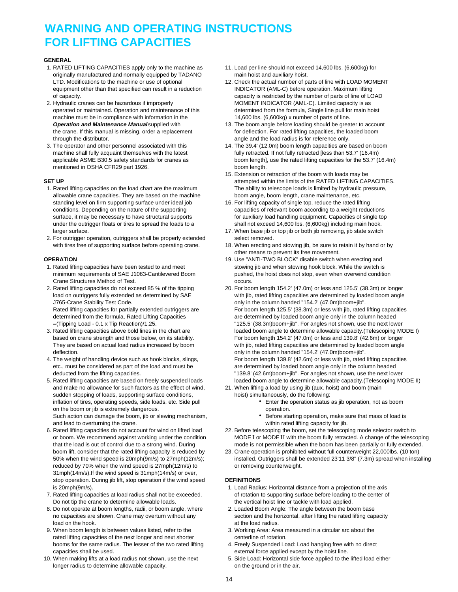### **WARNING AND OPERATING INSTRUCTIONS FOR LIFTING CAPACITIES**

#### **GENERAL**

- 1. RATED LIFTING CAPACITIES apply only to the machine as 11. Load per line should not exceed 14,600 lbs. (6,600kg) for originally manufactured and normally equipped by TADANO main hoist and auxiliary hoist. equipment other than that specified can result in a reduction INDICATOR (AML-C) before operation. Maximum lifting
- 2. Hydraulic cranes can be hazardous if improperly MOMENT INDICATOR (AML-C). Limited capacity is as machine must be in compliance with information in the 14,600 lbs. (6,600kg) x number of parts of line. through the distributor. The distributor of the load radius is for reference only.
- mentioned in OSHA CFR29 part 1926. boom length.

- allowable crane capacities. They are based on the machine boom angle, boom length, crane maintenance, etc. standing level on firm supporting surface under ideal job 16. For lifting capacity of single top, reduce the rated lifting under the outrigger floats or tires to spread the loads to a shall not exceed 14,600 lbs. (6,600kg) including main hook.
- 2. For outrigger operation, outriggers shall be properly extended select removed.

- Crane Structures Method of Test. **Crane Structures Method of Test.** Occurs.
- J765-Crane Stability Test Code. only in the column handed "154.2' (47.0m)boom+jib".
- deflection. **only in the column handed "154.2' (47.0m)boom+jib".** only in the column handed "154.2' (47.0m)boom+jib".
- 
- 5. Rated lifting capacities are based on freely suspended loads loaded boom angle to determine allowable capacity.(Telescoping MODE II) and make no allowance for such factors as the effect of wind, 21. When lifting a load by using jib (aux. hoist) and boom (main sudden stopping of loads, supporting surface conditions, hoist) simultaneously, do the following: inflation of tires, operating speeds, side loads, etc. Side pull **Enter the operation status as jib operation**, not as boom on the boom or jib is extremely dangerous. The state of the boom of peration. Such action can damage the boom, jib or slewing mechanism, **Buch action of the starting operation**, make sure that mass of load is and lead to overturning the crane. within rated lifting capacity for jib.
- that the load is out of control due to a strong wind. During mode is not permissible when the boom has been partially or fully extended. reduced by 70% when the wind speed is 27mph(12m/s) to or removing counterweight. 31mph(14m/s).If the wind speed is 31mph(14m/s) or over, stop operation. During jib lift, stop operation if the wind speed **DEFINITIONS**
- Do not tip the crane to determine allowable loads. The vertical hoist line or tackle with load applied.
- 8. Do not operate at boom lengths, radii, or boom angle, where 2. Loaded Boom Angle: The angle between the boom base load on the hook. **at the load radius.** At the load radius.
- 9. When boom length is between values listed, refer to the 3. Working Area: Area measured in a circular arc about the rated lifting capacities of the next longer and next shorter centerline of rotation. booms for the same radius. The lesser of the two rated lifting 4. Freely Suspended Load: Load hanging free with no direct capacities shall be used.<br>10. When making lifts at a load radius not shown, use the next 6. Side Load: Horizontal side force applied to the
- longer radius to determine allowable capacity. The state of the ground or in the air.
- 
- LTD. Modifications to the machine or use of optional 12. Check the actual number of parts of line with LOAD MOMENT of capacity. capacity is restricted by the number of parts of line of LOAD operated or maintained. Operation and maintenance of this determined from the formula, Single line pull for main hoist
- *Operation and Maintenance Manual* supplied with 13. The boom angle before loading should be greater to account the crane. If this manual is missing, order a replacement for deflection. For rated lifting capacities, the loaded boom
- 3. The operator and other personnel associated with this 14. The 39.4' (12.0m) boom length capacities are based on boom machine shall fully acquaint themselves with the latest fully retracted. If not fully retracted [less than 53.7' (16.4m) applicable ASME B30.5 safety standards for cranes as boom length], use the rated lifting capacities for the 53.7' (16.4m)
- 15. Extension or retraction of the boom with loads may be **SET UP SET UP EXAMPLE ATTER SET UP attempted within the limits of the RATED LIFTING CAPACITIES.** 1. Rated lifting capacities on the load chart are the maximum The ability to telescope loads is limited by hydraulic pressure,
	- conditions. Depending on the nature of the supporting capacities of relevant boom according to a weight reductions surface, it may be necessary to have structural supports for auxiliary load handling equipment. Capacities of single top
	- larger surface. 17. When base jib or top jib or both jib removing, jib state switch
	- with tires free of supporting surface before operating crane. 18. When erecting and stowing jib, be sure to retain it by hand or by other means to prevent its free movement.
- **OPERATION OPERATION 19. Use "ANTI-TWO BLOCK"** disable switch when erecting and 1. Rated lifting capacities have been tested to and meet stowing jib and when stowing hook block. While the switch is minimum requirements of SAE J1063-Cantilevered Boom pushed, the hoist does not stop, even when overwind condition
- 2. Rated lifting capacities do not exceed 85 % of the tipping 20. For boom length 154.2' (47.0m) or less and 125.5' (38.3m) or longer load on outriggers fully extended as determined by SAE with jib, rated lifting capacities are determined by loaded boom angle Rated lifting capacities for partially extended outriggers are For boom length 125.5' (38.3m) or less with jib, rated lifting capacities determined from the formula, Rated Lifting Capacities are determined by loaded boom angle only in the column headed =(Tipping Load - 0.1 x Tip Reaction)/1.25. "125.5' (38.3m)boom+jib". For angles not shown, use the next lower 3. Rated lifting capacities above bold lines in the chart are loaded boom angle to determine allowable capacity.(Telescoping MODE I) based on crane strength and those below, on its stability. For boom length 154.2' (47.0m) or less and 139.8' (42.6m) or longer They are based on actual load radius increased by boom with jib, rated lifting capacities are determined by loaded boom angle 4. The weight of handling device such as hook blocks, slings, For boom length 139.8' (42.6m) or less with jib, rated lifting capacities etc., must be considered as part of the load and must be are are determined by loaded boom angle only in the column headed deducted from the lifting capacities. The state of the next lower with the next lower with the next lower in the next lower state in the next lower
	- - -
			-
- 6. Rated lifting capacities do not account for wind on lifted load 22. Before telescoping the boom, set the telescoping mode selector switch to or boom. We recommend against working under the condition MODE I or MODE II with the boom fully retracted. A change of the telescoping
	- boom lift, consider that the rated lifting capacity is reduced by 23. Crane operation is prohibited without full counterweight 22,000lbs. (10 ton) 50% when the wind speed is 20mph(9m/s) to 27mph(12m/s); installed. Outriggers shall be extended 23'11 3/8" (7.3m) spread when installing

- is 20mph(9m/s). 1. Load Radius: Horizontal distance from a projection of the axis 7. Rated lifting capacities at load radius shall not be exceeded. only of rotation to supporting surface before loading to the center of
	- no capacities are shown. Crane may overturn without any section and the horizontal, after lifting the rated lifting capacity
		-
		-
		- 5. Side Load: Horizontal side force applied to the lifted load either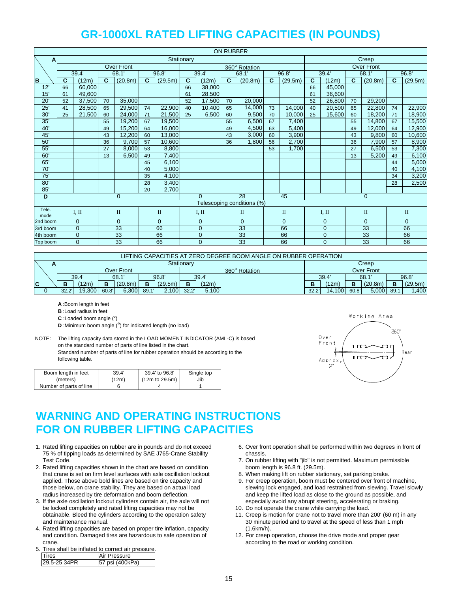|               | <b>ON RUBBER</b>                  |                            |                            |                   |    |         |                |                            |                 |                            |              |                      |                |          |              |                   |              |          |
|---------------|-----------------------------------|----------------------------|----------------------------|-------------------|----|---------|----------------|----------------------------|-----------------|----------------------------|--------------|----------------------|----------------|----------|--------------|-------------------|--------------|----------|
| A             |                                   |                            |                            |                   |    |         | Stationary     |                            |                 |                            |              |                      |                |          |              | Creep             |              |          |
|               |                                   |                            |                            | <b>Over Front</b> |    |         |                |                            |                 | 360° Rotation              |              |                      |                |          |              | <b>Over Front</b> |              |          |
|               |                                   | 39.4'                      |                            | 68.1              |    | 96.8'   |                | 39.4'                      | 68.1'           |                            |              | 96.8'                |                | 39.4'    |              | 68.1'             |              | 96.8'    |
| <b>B</b>      | C                                 | (12m)                      | C                          | (20.8m)           | C  | (29.5m) | $\mathbf{C}$   | (12m)                      | $\mathbf{C}$    | (20.8m)                    | C            | (29.5m)              | $\mathbf{C}$   | (12m)    | $\mathbf{C}$ | (20.8m)           | $\mathbf{C}$ | (29.5m)  |
| 12'           | 66                                | 60,000                     |                            |                   |    |         | 66             | 38,000                     |                 |                            |              |                      | 66             | 45,000   |              |                   |              |          |
| 15'           | 61                                | 49,600                     |                            |                   |    |         | 61             | 28,500                     |                 |                            |              |                      | 61             | 36,600   |              |                   |              |          |
| 20'           | 52                                | 37,500                     | 70                         | 35,000            |    |         | 52             | 17,500                     | 70              | 20,000                     |              |                      | 52             | 26,800   | 70           | 29,200            |              |          |
| 25'           | 41                                | 28,500                     | 65                         | 29,500            | 74 | 22,900  | 40             | 10,400                     | 65              | 14,000                     | 73           | 14,000               | 40             | 20,500   | 65           | 22,800            | 74           | 22,900   |
| 30'           | 25                                | 21.500                     | 60                         | 24.000            | 71 | 21,500  | 25             | 6,500                      | 60              | 9,500                      | 70           | 10.000               | 25             | 15,600   | 60           | 18,200            | 71           | 18,900   |
| 35'           |                                   |                            | 55                         | 19,200            | 67 | 19,500  |                |                            | 55              | 6,500                      | 67           | 7,400                |                |          | 55           | 14,800            | 67           | 15,500   |
| 40'           |                                   |                            | 49                         | 15,200            | 64 | 16,000  |                |                            | 49              | 4,500                      | 63           | 5,400                |                |          | 49           | 12,000            | 64           | 12,900   |
| 45'           |                                   |                            | 43                         | 12,200            | 60 | 13,000  |                |                            | 43              | 3,000                      | 60           | 3,900                |                |          | 43           | 9,800             | 60           | 10,600   |
| 50'           |                                   |                            | 36                         | 9,700             | 57 | 10,600  |                |                            | 36              | 1,800                      | 56           | 2,700                |                |          | 36           | 7,900             | 57           | 8,900    |
| 55'           |                                   |                            | 27                         | 8.000             | 53 | 8,800   |                |                            |                 |                            | 53           | 1,700                |                |          | 27           | 6,500             | 53           | 7,300    |
| 60'           |                                   |                            | 13                         | 6,500             | 49 | 7,400   |                |                            |                 |                            |              |                      |                |          | 13           | 5,200             | 49           | 6,100    |
| 65'           |                                   |                            |                            |                   | 45 | 6,100   |                |                            |                 |                            |              |                      |                |          |              |                   | 44           | 5,000    |
| 70'           |                                   |                            |                            |                   | 40 | 5,000   |                |                            |                 |                            |              |                      |                |          |              |                   | 40           | 4,100    |
| 75'           |                                   |                            |                            |                   | 35 | 4.100   |                |                            |                 |                            |              |                      |                |          |              |                   | 34           | 3,200    |
| 80'           |                                   |                            |                            |                   | 28 | 3,400   |                |                            |                 |                            |              |                      |                |          |              |                   | 28           | 2,500    |
| 85            |                                   |                            |                            |                   | 20 | 2,700   |                |                            |                 |                            |              |                      |                |          |              |                   |              |          |
| D             | $\overline{0}$                    |                            |                            |                   |    |         | $\Omega$       |                            | $\overline{28}$ |                            | 45           |                      |                |          | $\mathbf{0}$ |                   |              |          |
|               |                                   |                            |                            |                   |    |         |                |                            |                 | Telescoping conditions (%) |              |                      |                |          |              |                   |              |          |
| Tele.<br>mode | $\rm II$<br>$\mathbf{I}$<br>I, II |                            |                            |                   |    |         | I, II          |                            | $\mathbf{I}$    |                            | $\mathbf{I}$ |                      | I, II          |          | $\mathbf{I}$ |                   | $\mathbf{I}$ |          |
| 2nd boom      |                                   | $\mathbf{0}$               | $\overline{0}$<br>$\Omega$ |                   |    |         |                | $\Omega$                   |                 | $\Omega$                   |              | $\Omega$             |                | $\Omega$ |              | $\Omega$          |              | $\Omega$ |
| 3rd boom      |                                   | 33<br>$\overline{0}$<br>66 |                            |                   |    |         | $\overline{0}$ |                            | 33              |                            | 66           |                      | $\overline{0}$ | 33       |              | 66                |              |          |
| 4th boom      |                                   | $\mathbf{0}$               |                            | 33                |    | 66      |                | 33<br>66<br>$\overline{0}$ |                 |                            |              | 33<br>$\overline{0}$ |                |          | 66           |                   |              |          |
| Top boom      | 33<br>66<br>$\overline{0}$        |                            |                            |                   |    |         | $\overline{0}$ |                            | 33              |                            | 66           |                      | $\overline{0}$ |          | 33           |                   | 66           |          |

|                         | LIFTING CAPACITIES AT ZERO DEGREE BOOM ANGLE ON RUBBER OPERATION. |                                                                       |   |         |   |         |  |       |  |       |            |       |         |      |         |  |
|-------------------------|-------------------------------------------------------------------|-----------------------------------------------------------------------|---|---------|---|---------|--|-------|--|-------|------------|-------|---------|------|---------|--|
|                         |                                                                   | Stationarv<br>Creep                                                   |   |         |   |         |  |       |  |       |            |       |         |      |         |  |
|                         |                                                                   | Over Front<br>360° Rotation                                           |   |         |   |         |  |       |  |       | Over Front |       |         |      |         |  |
|                         |                                                                   | 39.4                                                                  |   | 68.1    |   | 96.8'   |  | 39.4' |  |       | 39.4       |       | 68.1    |      | 96.8'   |  |
| $\overline{\mathbf{C}}$ | в<br>D                                                            | 12m)                                                                  | в | (20.8m) | в | (29.5m) |  | (12m) |  |       | (12m)      | в     | (20.8m) | в    | (29.5m) |  |
|                         |                                                                   | 5.100<br>19.300<br>6,300<br>2.100<br>60.8'<br>32.2'<br>89.1'<br>32.2' |   |         |   |         |  |       |  | 32.2' | 14.100     | 60.8' | 5.000   | 89.1 | .400    |  |

- **A** :Boom length in feet
- **B** :Load radius in feet
- $C$  : Loaded boom angle  $(°)$
- **D** : Minimum boom angle (°) for indicated length (no load)

NOTE: The lifting capacity data stored in the LOAD MOMENT INDICATOR (AML-C) is based on the standard number of parts of line listed in the chart.

Standard number of parts of line for rubber operation should be according to the following table.

| Boom length in feet     | 39.4  | 39.4' to 96.8' | Single top |
|-------------------------|-------|----------------|------------|
| (meters)                | (12m) | (12m to 29.5m) | Jib        |
| Number of parts of line |       |                |            |



### **WARNING AND OPERATING INSTRUCTIONS FOR ON RUBBER LIFTING CAPACITIES**

- 75 % of tipping loads as determined by SAE J765-Crane Stability chassis. Test Code. The Code. The Code of the Code of the Code of the Code of the Test Code. The Code of the Code of the Code of the Code of the Code of the Code of the Code of the Code of the Code of the Code of the Code of the Co
- 2. Rated lifting capacities shown in the chart are based on condition boom length is 96.8 ft. (29.5m).<br>2. that crane is set on firm level surfaces with axle oscillation lockout 8. When making lift on rubber stationary, set that crane is set on firm level surfaces with axle oscillation lockout applied. Those above bold lines are based on tire capacity and
- 3. If the axle oscillation lockout cylinders contain air, the axle will not<br>be locked completely and rated lifting capacities may not be 10. Do not operate the crane while carrying the load. be locked completely and rated lifting capacities may not be obtainable. Bleed the cylinders according to the operation safety obtainable. Bleed the cylinders according to the operation safety 11. Creep is motion for crane not to travel more than 200' (60 m) in any
- 4. Rated lifting capacities are based on proper tire inflation, capacity (1.6km/h). and condition. Damaged tires are hazardous to safe operation of 12. For creep operation, choose the drive mode and proper gear crane. **and the road or working condition.** The road or working condition.
- 5. Tires shall be inflated to correct air pressure. Tires Air Pressure<br>199.5-25 34PR 57 psi (400kl 57 psi (400kPa)
- 1. Rated lifting capacities on rubber are in pounds and do not exceed 6. Over front operation shall be performed within two degrees in front of
	-
	-
	- 9. For creep operation, boom must be centered over front of machine, those below, on crane stability. They are based on actual load slewing lock engaged, and load restrained from slewing. Travel slowly radius increased by tire deformation and boom deflection. The same of the lifted load as close to the ground as possible, and
		-
		- 30 minute period and to travel at the speed of less than 1 mph
		-